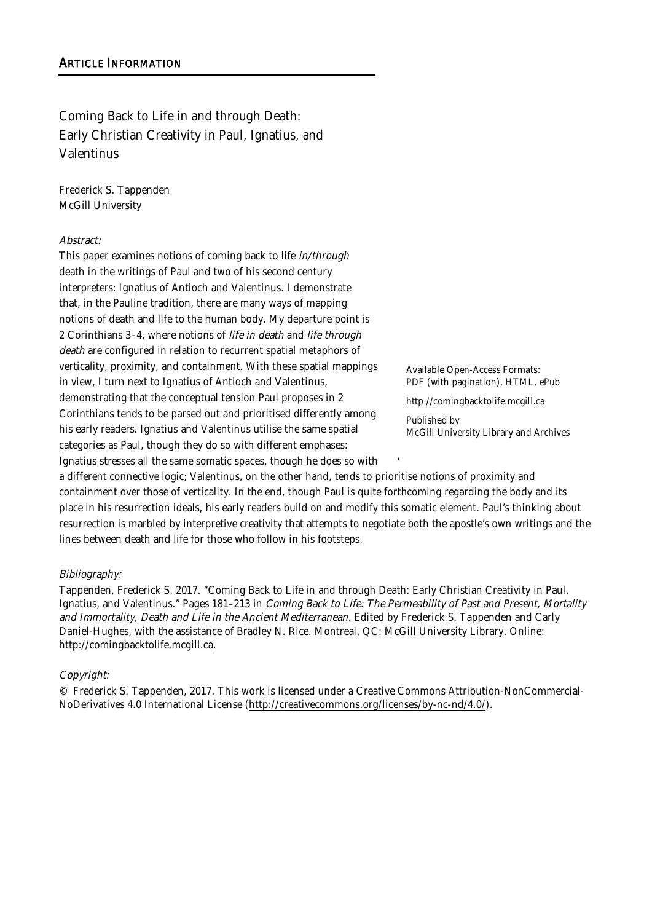Coming Back to Life in and through Death: Early Christian Creativity in Paul, Ignatius, and Valentinus

Frederick S. Tappenden McGill University

### Abstract:

This paper examines notions of coming back to life in/through death in the writings of Paul and two of his second century interpreters: Ignatius of Antioch and Valentinus. I demonstrate that, in the Pauline tradition, there are many ways of mapping notions of death and life to the human body. My departure point is 2 Corinthians 3–4, where notions of life in death and life through death are configured in relation to recurrent spatial metaphors of verticality, proximity, and containment. With these spatial mappings in view, I turn next to Ignatius of Antioch and Valentinus, demonstrating that the conceptual tension Paul proposes in 2 Corinthians tends to be parsed out and prioritised differently among his early readers. Ignatius and Valentinus utilise the same spatial categories as Paul, though they do so with different emphases:

Ignatius stresses all the same somatic spaces, though he does so with

Available Open-Access Formats: PDF (with pagination), HTML, ePub

http://comingbacktolife.mcgill.ca

Published by McGill University Library and Archives

a different connective logic; Valentinus, on the other hand, tends to prioritise notions of proximity and containment over those of verticality. In the end, though Paul is quite forthcoming regarding the body and its place in his resurrection ideals, his early readers build on and modify this somatic element. Paul's thinking about resurrection is marbled by interpretive creativity that attempts to negotiate both the apostle's own writings and the lines between death and life for those who follow in his footsteps. !

### Bibliography:

Tappenden, Frederick S. 2017. "Coming Back to Life in and through Death: Early Christian Creativity in Paul, Ignatius, and Valentinus." Pages 181-213 in Coming Back to Life: The Permeability of Past and Present, Mortality and Immortality, Death and Life in the Ancient Mediterranean. Edited by Frederick S. Tappenden and Carly Daniel-Hughes, with the assistance of Bradley N. Rice. Montreal, QC: McGill University Library. Online: http://comingbacktolife.mcgill.ca.

### Copyright:

© Frederick S. Tappenden, 2017. This work is licensed under a Creative Commons Attribution-NonCommercial-NoDerivatives 4.0 International License (http://creativecommons.org/licenses/by-nc-nd/4.0/).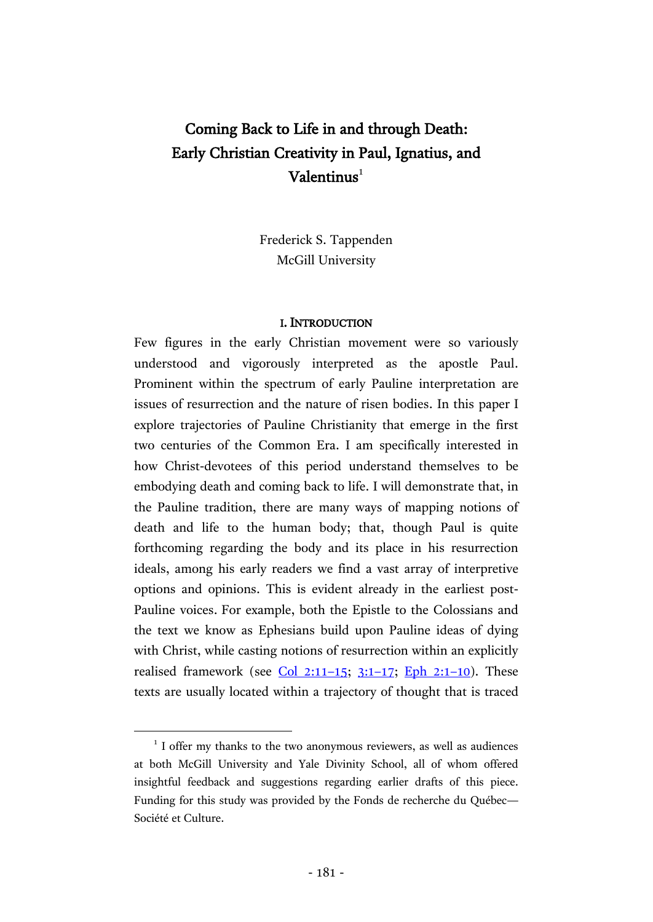# Coming Back to Life in and through Death: Early Christian Creativity in Paul, Ignatius, and  $\mathbf{Valentinus}^{1}$

Frederick S. Tappenden McGill University

#### I. INTRODUCTION

Few figures in the early Christian movement were so variously understood and vigorously interpreted as the apostle Paul. Prominent within the spectrum of early Pauline interpretation are issues of resurrection and the nature of risen bodies. In this paper I explore trajectories of Pauline Christianity that emerge in the first two centuries of the Common Era. I am specifically interested in how Christ-devotees of this period understand themselves to be embodying death and coming back to life. I will demonstrate that, in the Pauline tradition, there are many ways of mapping notions of death and life to the human body; that, though Paul is quite forthcoming regarding the body and its place in his resurrection ideals, among his early readers we find a vast array of interpretive options and opinions. This is evident already in the earliest post-Pauline voices. For example, both the Epistle to the Colossians and the text we know as Ephesians build upon Pauline ideas of dying with Christ, while casting notions of resurrection within an explicitly realised framework (see  $Col$  2:11-15; [3:1](http://www.academic-bible.com/bible-text/Colossians3.1-17/NA/)-17; [Eph 2:1](http://www.academic-bible.com/bible-text/Ephesians2.1-10/NA/)-10). These texts are usually located within a trajectory of thought that is traced

<sup>&</sup>lt;sup>1</sup> I offer my thanks to the two anonymous reviewers, as well as audiences at both McGill University and Yale Divinity School, all of whom offered insightful feedback and suggestions regarding earlier drafts of this piece. Funding for this study was provided by the Fonds de recherche du Québec— Société et Culture.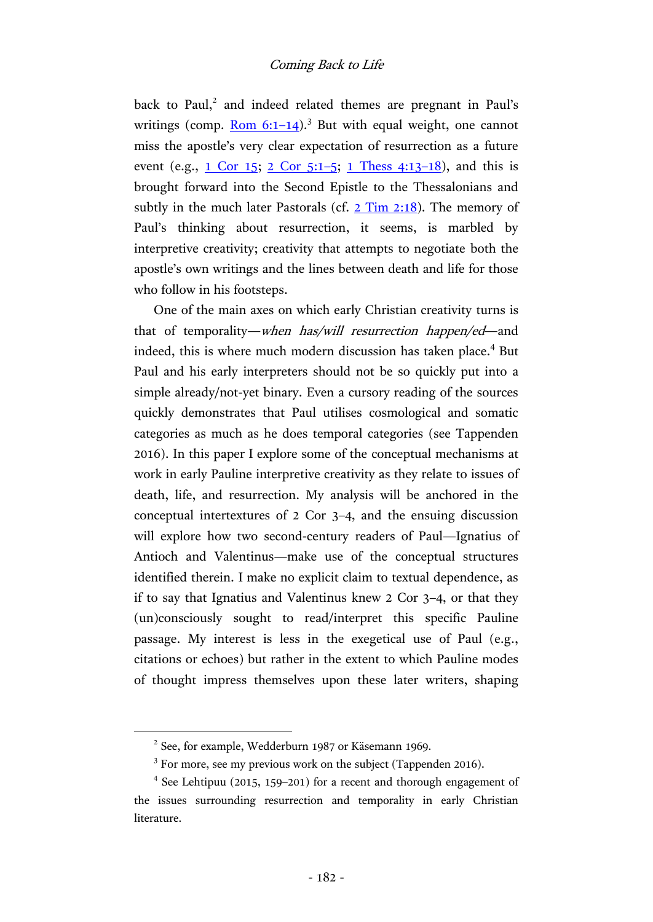back to Paul,<sup>2</sup> and indeed related themes are pregnant in Paul's writings (comp. [Rom](http://www.academic-bible.com/bible-text/Romans6.1-14/NA/) 6:1-14).<sup>3</sup> But with equal weight, one cannot miss the apostle's very clear expectation of resurrection as a future event (e.g., [1 Cor 15;](http://www.academic-bible.com/bible-text/1Corinthians15/NA/) [2 Cor 5:1](http://www.academic-bible.com/bible-text/2Corinthians5.1-5/NA/)–5; [1 Thess 4:13](http://www.academic-bible.com/bible-text/1Thessalonians4.13-18/NA/)–18), and this is brought forward into the Second Epistle to the Thessalonians and subtly in the much later Pastorals (cf.  $2$  Tim  $2:18$ ). The memory of Paul's thinking about resurrection, it seems, is marbled by interpretive creativity; creativity that attempts to negotiate both the apostle's own writings and the lines between death and life for those who follow in his footsteps.

One of the main axes on which early Christian creativity turns is that of temporality—when has/will resurrection happen/ed—and indeed, this is where much modern discussion has taken place.<sup>4</sup> But Paul and his early interpreters should not be so quickly put into a simple already/not-yet binary. Even a cursory reading of the sources quickly demonstrates that Paul utilises cosmological and somatic categories as much as he does temporal categories (see Tappenden 2016). In this paper I explore some of the conceptual mechanisms at work in early Pauline interpretive creativity as they relate to issues of death, life, and resurrection. My analysis will be anchored in the conceptual intertextures of 2 Cor 3–4, and the ensuing discussion will explore how two second-century readers of Paul—Ignatius of Antioch and Valentinus—make use of the conceptual structures identified therein. I make no explicit claim to textual dependence, as if to say that Ignatius and Valentinus knew 2 Cor 3–4, or that they (un)consciously sought to read/interpret this specific Pauline passage. My interest is less in the exegetical use of Paul (e.g., citations or echoes) but rather in the extent to which Pauline modes of thought impress themselves upon these later writers, shaping

<sup>&</sup>lt;sup>2</sup> See, for example, Wedderburn 1987 or Käsemann 1969.

<sup>&</sup>lt;sup>3</sup> For more, see my previous work on the subject (Tappenden 2016).

<sup>4</sup> See Lehtipuu (2015, 159–201) for a recent and thorough engagement of the issues surrounding resurrection and temporality in early Christian literature.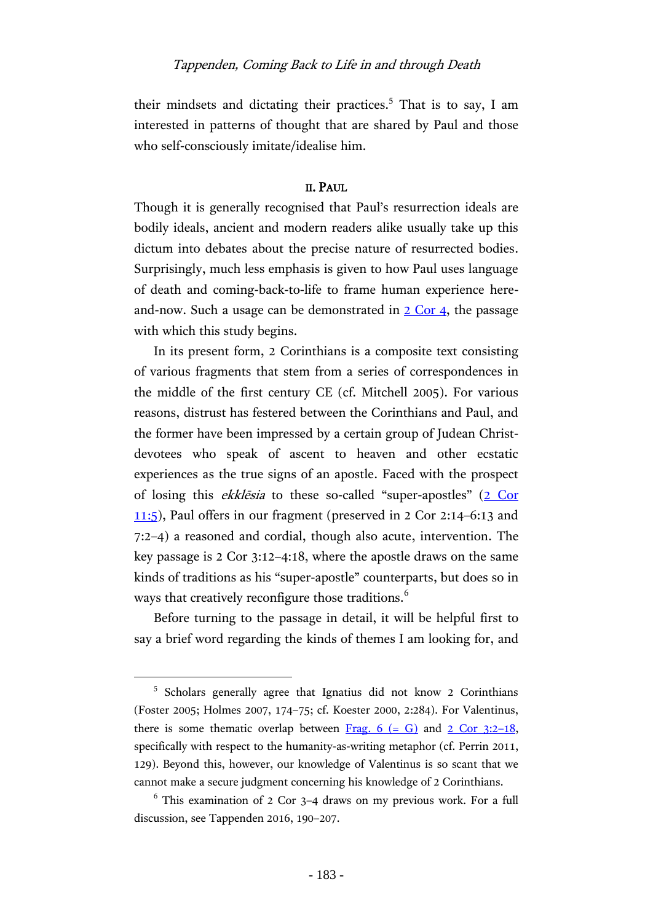their mindsets and dictating their practices.<sup>5</sup> That is to say, I am interested in patterns of thought that are shared by Paul and those who self-consciously imitate/idealise him.

# II. PAUL

Though it is generally recognised that Paul's resurrection ideals are bodily ideals, ancient and modern readers alike usually take up this dictum into debates about the precise nature of resurrected bodies. Surprisingly, much less emphasis is given to how Paul uses language of death and coming-back-to-life to frame human experience hereand-now. Such a usage can be demonstrated in  $2 \text{ Cor } 4$ , the passage with which this study begins.

In its present form, 2 Corinthians is a composite text consisting of various fragments that stem from a series of correspondences in the middle of the first century CE (cf. Mitchell 2005). For various reasons, distrust has festered between the Corinthians and Paul, and the former have been impressed by a certain group of Judean Christdevotees who speak of ascent to heaven and other ecstatic experiences as the true signs of an apostle. Faced with the prospect of losing this ekklēsia to these so-called "super-apostles" ([2 Cor](http://www.academic-bible.com/bible-text/2Corinthians11.5/NA/)  [11:5\)](http://www.academic-bible.com/bible-text/2Corinthians11.5/NA/), Paul offers in our fragment (preserved in 2 Cor 2:14–6:13 and 7:2–4) a reasoned and cordial, though also acute, intervention. The key passage is 2 Cor 3:12–4:18, where the apostle draws on the same kinds of traditions as his "super-apostle" counterparts, but does so in ways that creatively reconfigure those traditions.<sup>6</sup>

Before turning to the passage in detail, it will be helpful first to say a brief word regarding the kinds of themes I am looking for, and

<sup>&</sup>lt;sup>5</sup> Scholars generally agree that Ignatius did not know 2 Corinthians (Foster 2005; Holmes 2007, 174–75; cf. Koester 2000, 2:284). For Valentinus, there is some thematic overlap between Frag.  $6 (= G)$  and  $2 Cor 3:2-18$ , specifically with respect to the humanity-as-writing metaphor (cf. Perrin 2011, 129). Beyond this, however, our knowledge of Valentinus is so scant that we cannot make a secure judgment concerning his knowledge of 2 Corinthians.

 $6$  This examination of 2 Cor 3–4 draws on my previous work. For a full discussion, see Tappenden 2016, 190–207.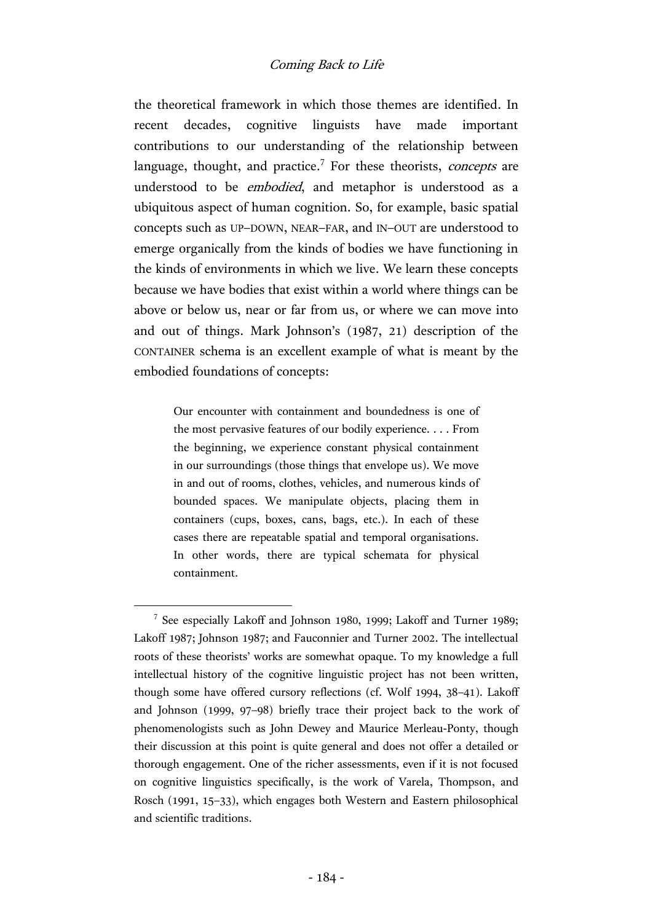the theoretical framework in which those themes are identified. In recent decades, cognitive linguists have made important contributions to our understanding of the relationship between language, thought, and practice.<sup>7</sup> For these theorists, *concepts* are understood to be embodied, and metaphor is understood as a ubiquitous aspect of human cognition. So, for example, basic spatial concepts such as UP–DOWN, NEAR–FAR, and IN–OUT are understood to emerge organically from the kinds of bodies we have functioning in the kinds of environments in which we live. We learn these concepts because we have bodies that exist within a world where things can be above or below us, near or far from us, or where we can move into and out of things. Mark Johnson's (1987, 21) description of the CONTAINER schema is an excellent example of what is meant by the embodied foundations of concepts:

> Our encounter with containment and boundedness is one of the most pervasive features of our bodily experience. . . . From the beginning, we experience constant physical containment in our surroundings (those things that envelope us). We move in and out of rooms, clothes, vehicles, and numerous kinds of bounded spaces. We manipulate objects, placing them in containers (cups, boxes, cans, bags, etc.). In each of these cases there are repeatable spatial and temporal organisations. In other words, there are typical schemata for physical containment.

<sup>&</sup>lt;sup>7</sup> See especially Lakoff and Johnson 1980, 1999; Lakoff and Turner 1989; Lakoff 1987; Johnson 1987; and Fauconnier and Turner 2002. The intellectual roots of these theorists' works are somewhat opaque. To my knowledge a full intellectual history of the cognitive linguistic project has not been written, though some have offered cursory reflections (cf. Wolf 1994, 38–41). Lakoff and Johnson (1999, 97–98) briefly trace their project back to the work of phenomenologists such as John Dewey and Maurice Merleau-Ponty, though their discussion at this point is quite general and does not offer a detailed or thorough engagement. One of the richer assessments, even if it is not focused on cognitive linguistics specifically, is the work of Varela, Thompson, and Rosch (1991, 15–33), which engages both Western and Eastern philosophical and scientific traditions.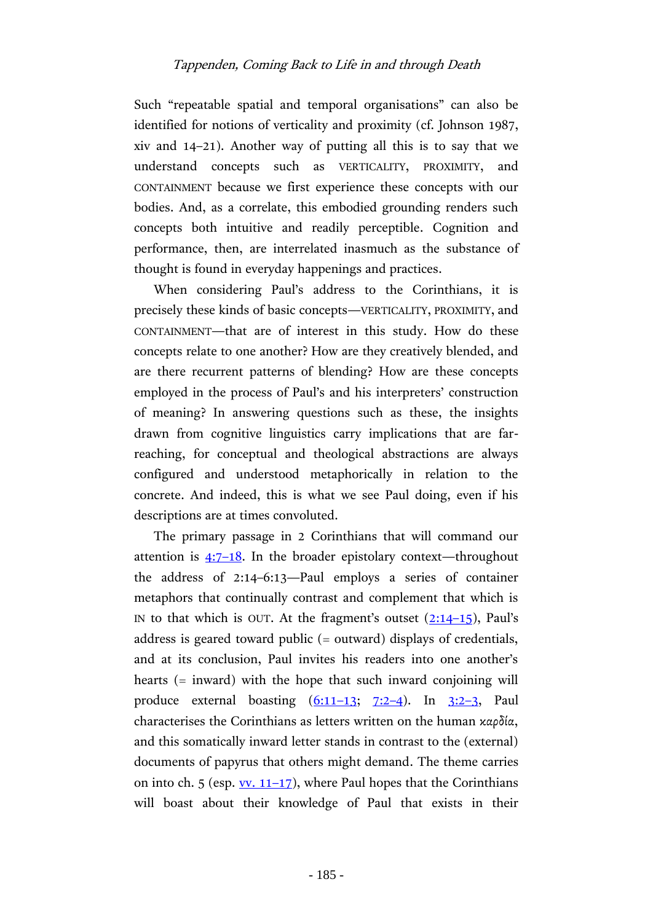Such "repeatable spatial and temporal organisations" can also be identified for notions of verticality and proximity (cf. Johnson 1987, xiv and 14–21). Another way of putting all this is to say that we understand concepts such as VERTICALITY, PROXIMITY, and CONTAINMENT because we first experience these concepts with our bodies. And, as a correlate, this embodied grounding renders such concepts both intuitive and readily perceptible. Cognition and performance, then, are interrelated inasmuch as the substance of thought is found in everyday happenings and practices.

When considering Paul's address to the Corinthians, it is precisely these kinds of basic concepts—VERTICALITY, PROXIMITY, and CONTAINMENT—that are of interest in this study. How do these concepts relate to one another? How are they creatively blended, and are there recurrent patterns of blending? How are these concepts employed in the process of Paul's and his interpreters' construction of meaning? In answering questions such as these, the insights drawn from cognitive linguistics carry implications that are farreaching, for conceptual and theological abstractions are always configured and understood metaphorically in relation to the concrete. And indeed, this is what we see Paul doing, even if his descriptions are at times convoluted.

The primary passage in 2 Corinthians that will command our attention is  $4:7-18$ . In the broader epistolary context—throughout the address of 2:14–6:13—Paul employs a series of container metaphors that continually contrast and complement that which is IN to that which is OUT. At the fragment's outset  $(2:14-15)$  $(2:14-15)$  $(2:14-15)$ , Paul's address is geared toward public (= outward) displays of credentials, and at its conclusion, Paul invites his readers into one another's hearts (= inward) with the hope that such inward conjoining will produce external boasting  $(6:11-13; 7:2-4)$  $(6:11-13; 7:2-4)$  $(6:11-13; 7:2-4)$  $(6:11-13; 7:2-4)$ . In  $3:2-3$  $3:2-3$ , Paul characterises the Corinthians as letters written on the human καρδία, and this somatically inward letter stands in contrast to the (external) documents of papyrus that others might demand. The theme carries on into ch. 5 (esp.  $\underline{vv}$ . 11–17), where Paul hopes that the Corinthians will boast about their knowledge of Paul that exists in their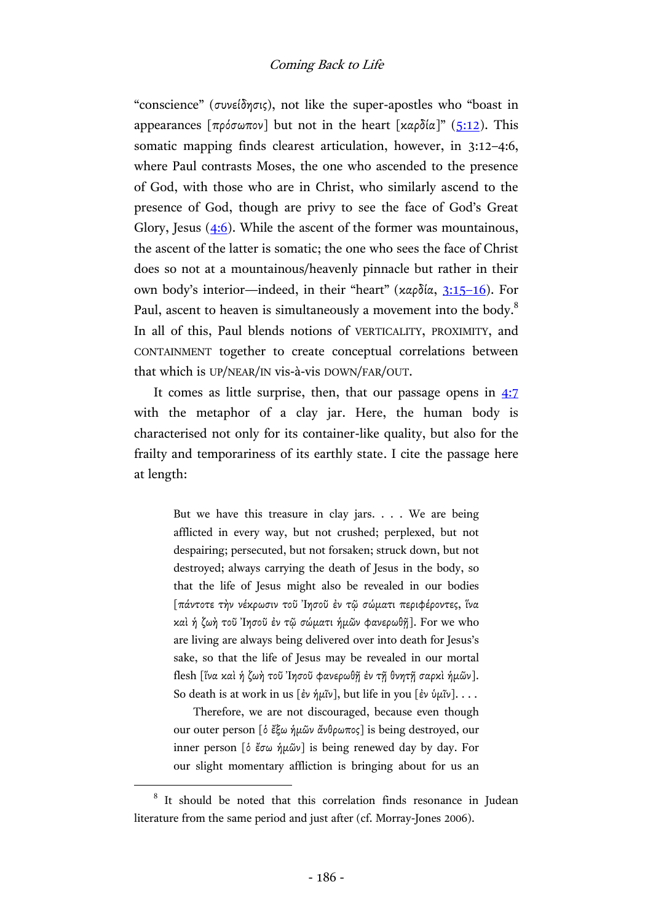"conscience" (συνείδησις), not like the super-apostles who "boast in appearances  $\lceil \pi \rho \delta \sigma \omega \pi \sigma v \rceil$  but not in the heart  $\lceil \frac{\kappa \rho \delta(\alpha)}{n} \rceil$  ([5:12\)](http://www.academic-bible.com/bible-text/2Corinthians5.12/NA/). This somatic mapping finds clearest articulation, however, in 3:12–4:6, where Paul contrasts Moses, the one who ascended to the presence of God, with those who are in Christ, who similarly ascend to the presence of God, though are privy to see the face of God's Great Glory, Jesus  $(4:6)$ . While the ascent of the former was mountainous, the ascent of the latter is somatic; the one who sees the face of Christ does so not at a mountainous/heavenly pinnacle but rather in their own body's interior—indeed, in their "heart" (καρδία, [3:15](http://www.academic-bible.com/bible-text/2Corinthians3.15-16/NA/)–16). For Paul, ascent to heaven is simultaneously a movement into the body.<sup>8</sup> In all of this, Paul blends notions of VERTICALITY, PROXIMITY, and CONTAINMENT together to create conceptual correlations between that which is UP/NEAR/IN vis-à-vis DOWN/FAR/OUT.

It comes as little surprise, then, that our passage opens in [4:7](http://www.academic-bible.com/bible-text/2Corinthians4.7/NA/) with the metaphor of a clay jar. Here, the human body is characterised not only for its container-like quality, but also for the frailty and temporariness of its earthly state. I cite the passage here at length:

> But we have this treasure in clay jars. . . . We are being afflicted in every way, but not crushed; perplexed, but not despairing; persecuted, but not forsaken; struck down, but not destroyed; always carrying the death of Jesus in the body, so that the life of Jesus might also be revealed in our bodies [πάντοτε τὴν νέκρωσιν τοῦ Ἰησοῦ ἐν τῷ σώματι περιφέροντες, ἵνα καὶ ἡ ζωὴ τοῦ Ἰησοῦ ἐν τῷ σώματι ἡμῶν φανερωθῇ]. For we who are living are always being delivered over into death for Jesus's sake, so that the life of Jesus may be revealed in our mortal flesh [ἵνα καὶ ἡ ζωὴ τοῦ Ἰησοῦ φανερωθῇ ἐν τῇ θνητῇ σαρκὶ ἡμῶν]. So death is at work in us [ἐν ἡμῖν], but life in you [ἐν ὑμῖν]. . . .

> Therefore, we are not discouraged, because even though our outer person [ὁ ἔξω ἡμῶν ἄνθρωπος] is being destroyed, our inner person [ὁ ἔσω ἡμῶν] is being renewed day by day. For our slight momentary affliction is bringing about for us an

<sup>&</sup>lt;sup>8</sup> It should be noted that this correlation finds resonance in Judean literature from the same period and just after (cf. Morray-Jones 2006).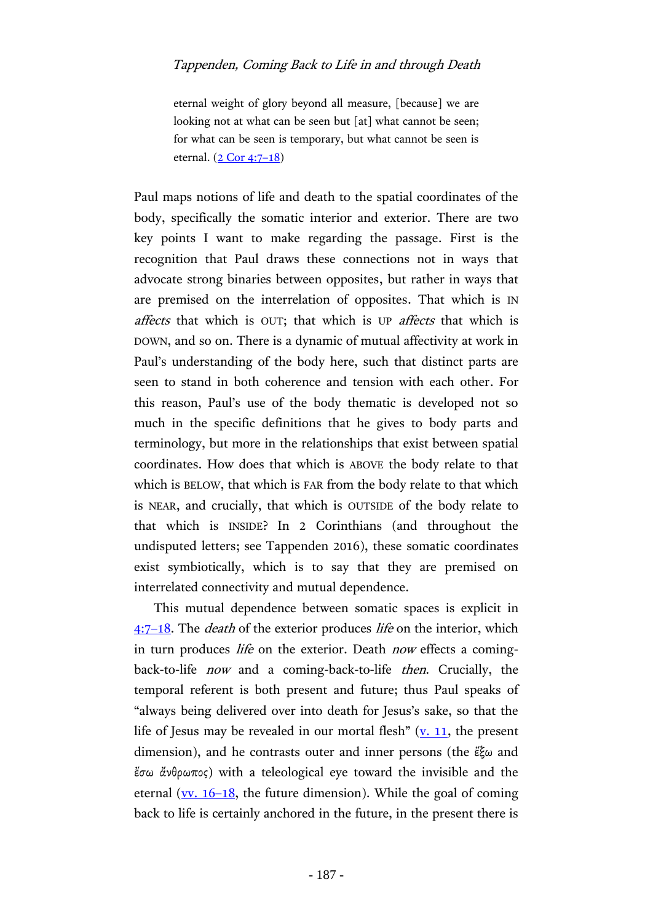eternal weight of glory beyond all measure, [because] we are looking not at what can be seen but [at] what cannot be seen; for what can be seen is temporary, but what cannot be seen is eternal. [\(2 Cor 4:7](http://www.academic-bible.com/bible-text/2Corinthians4.7-18/NA/)–18)

Paul maps notions of life and death to the spatial coordinates of the body, specifically the somatic interior and exterior. There are two key points I want to make regarding the passage. First is the recognition that Paul draws these connections not in ways that advocate strong binaries between opposites, but rather in ways that are premised on the interrelation of opposites. That which is IN affects that which is OUT; that which is UP affects that which is DOWN, and so on. There is a dynamic of mutual affectivity at work in Paul's understanding of the body here, such that distinct parts are seen to stand in both coherence and tension with each other. For this reason, Paul's use of the body thematic is developed not so much in the specific definitions that he gives to body parts and terminology, but more in the relationships that exist between spatial coordinates. How does that which is ABOVE the body relate to that which is BELOW, that which is FAR from the body relate to that which is NEAR, and crucially, that which is OUTSIDE of the body relate to that which is INSIDE? In 2 Corinthians (and throughout the undisputed letters; see Tappenden 2016), these somatic coordinates exist symbiotically, which is to say that they are premised on interrelated connectivity and mutual dependence.

This mutual dependence between somatic spaces is explicit in  $4:7-18$  $4:7-18$ . The *death* of the exterior produces *life* on the interior, which in turn produces *life* on the exterior. Death *now* effects a comingback-to-life now and a coming-back-to-life then. Crucially, the temporal referent is both present and future; thus Paul speaks of "always being delivered over into death for Jesus's sake, so that the life of Jesus may be revealed in our mortal flesh"  $(v, 11)$ , the present dimension), and he contrasts outer and inner persons (the ἔξω and ἔσω ἄνθρωπος) with a teleological eye toward the invisible and the eternal ( $v$ . 16–18, the future dimension). While the goal of coming</u> back to life is certainly anchored in the future, in the present there is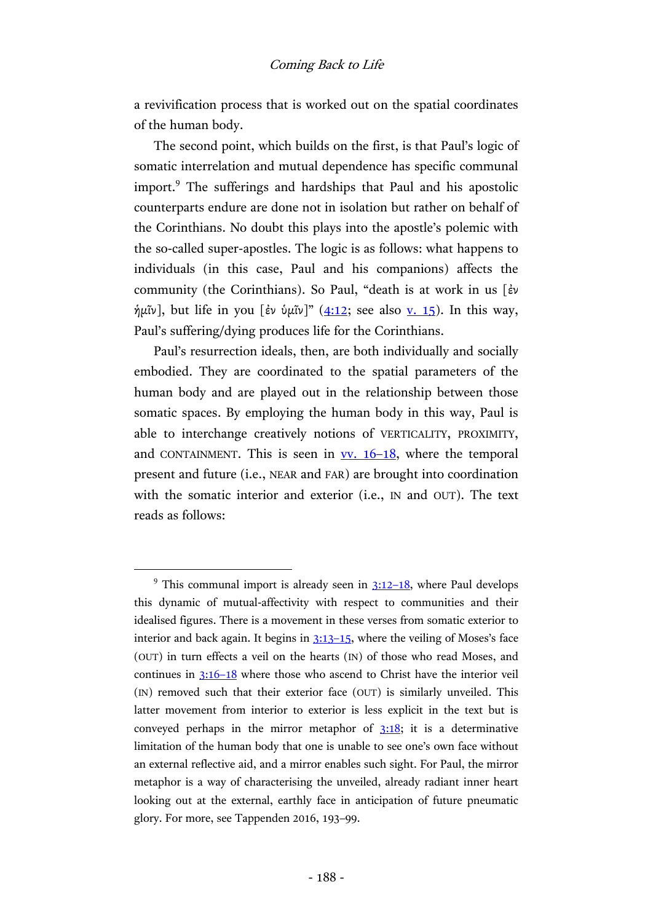a revivification process that is worked out on the spatial coordinates of the human body.

The second point, which builds on the first, is that Paul's logic of somatic interrelation and mutual dependence has specific communal import.<sup>9</sup> The sufferings and hardships that Paul and his apostolic counterparts endure are done not in isolation but rather on behalf of the Corinthians. No doubt this plays into the apostle's polemic with the so-called super-apostles. The logic is as follows: what happens to individuals (in this case, Paul and his companions) affects the community (the Corinthians). So Paul, "death is at work in us [ἐν  $\hat{\eta}$ μῖν], but life in you [ἐν ὑμῖν]" ([4:12;](http://www.academic-bible.com/bible-text/2Corinthians4.12/NA/) see also <u>v. 15</u>). In this way, Paul's suffering/dying produces life for the Corinthians.

Paul's resurrection ideals, then, are both individually and socially embodied. They are coordinated to the spatial parameters of the human body and are played out in the relationship between those somatic spaces. By employing the human body in this way, Paul is able to interchange creatively notions of VERTICALITY, PROXIMITY, and CONTAINMENT. This is seen in  $\underline{vv}$ . 16–18, where the temporal present and future (i.e., NEAR and FAR) are brought into coordination with the somatic interior and exterior (i.e., IN and OUT). The text reads as follows:

 $9$  This communal import is already seen in  $3:12-18$ , where Paul develops this dynamic of mutual-affectivity with respect to communities and their idealised figures. There is a movement in these verses from somatic exterior to interior and back again. It begins in [3:13](http://www.academic-bible.com/bible-text/2Corinthians3.13-15/NA/)–15, where the veiling of Moses's face (OUT) in turn effects a veil on the hearts (IN) of those who read Moses, and continues in  $3:16-18$  where those who ascend to Christ have the interior veil (IN) removed such that their exterior face (OUT) is similarly unveiled. This latter movement from interior to exterior is less explicit in the text but is conveyed perhaps in the mirror metaphor of  $3:18$ ; it is a determinative limitation of the human body that one is unable to see one's own face without an external reflective aid, and a mirror enables such sight. For Paul, the mirror metaphor is a way of characterising the unveiled, already radiant inner heart looking out at the external, earthly face in anticipation of future pneumatic glory. For more, see Tappenden 2016, 193–99.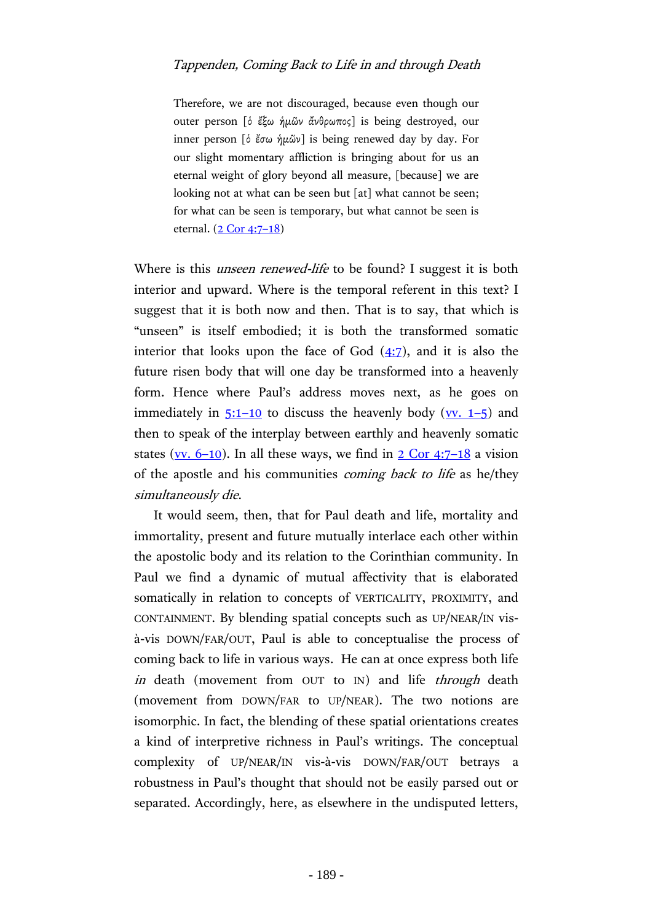Therefore, we are not discouraged, because even though our outer person [ὁ ἔξω ἡμῶν ἄνθρωπος] is being destroyed, our inner person [ὁ ἔσω ἡμῶν] is being renewed day by day. For our slight momentary affliction is bringing about for us an eternal weight of glory beyond all measure, [because] we are looking not at what can be seen but [at] what cannot be seen; for what can be seen is temporary, but what cannot be seen is eternal. [\(2 Cor 4:7](http://www.academic-bible.com/bible-text/2Corinthians4.7-18/NA/)-18)

Where is this *unseen renewed-life* to be found? I suggest it is both interior and upward. Where is the temporal referent in this text? I suggest that it is both now and then. That is to say, that which is "unseen" is itself embodied; it is both the transformed somatic interior that looks upon the face of God  $(4:7)$ , and it is also the future risen body that will one day be transformed into a heavenly form. Hence where Paul's address moves next, as he goes on immediately in  $5:1-10$  to discuss the heavenly body ( $\underline{vv}$ ,  $1-5$ ) and then to speak of the interplay between earthly and heavenly somatic states (vv.  $6-10$ ). In all these ways, we find in  $2 \text{ Cor } 4:7-18$  a vision of the apostle and his communities coming back to life as he/they simultaneously die.

It would seem, then, that for Paul death and life, mortality and immortality, present and future mutually interlace each other within the apostolic body and its relation to the Corinthian community. In Paul we find a dynamic of mutual affectivity that is elaborated somatically in relation to concepts of VERTICALITY, PROXIMITY, and CONTAINMENT. By blending spatial concepts such as UP/NEAR/IN visà-vis DOWN/FAR/OUT, Paul is able to conceptualise the process of coming back to life in various ways. He can at once express both life in death (movement from OUT to IN) and life *through* death (movement from DOWN/FAR to UP/NEAR). The two notions are isomorphic. In fact, the blending of these spatial orientations creates a kind of interpretive richness in Paul's writings. The conceptual complexity of UP/NEAR/IN vis-à-vis DOWN/FAR/OUT betrays a robustness in Paul's thought that should not be easily parsed out or separated. Accordingly, here, as elsewhere in the undisputed letters,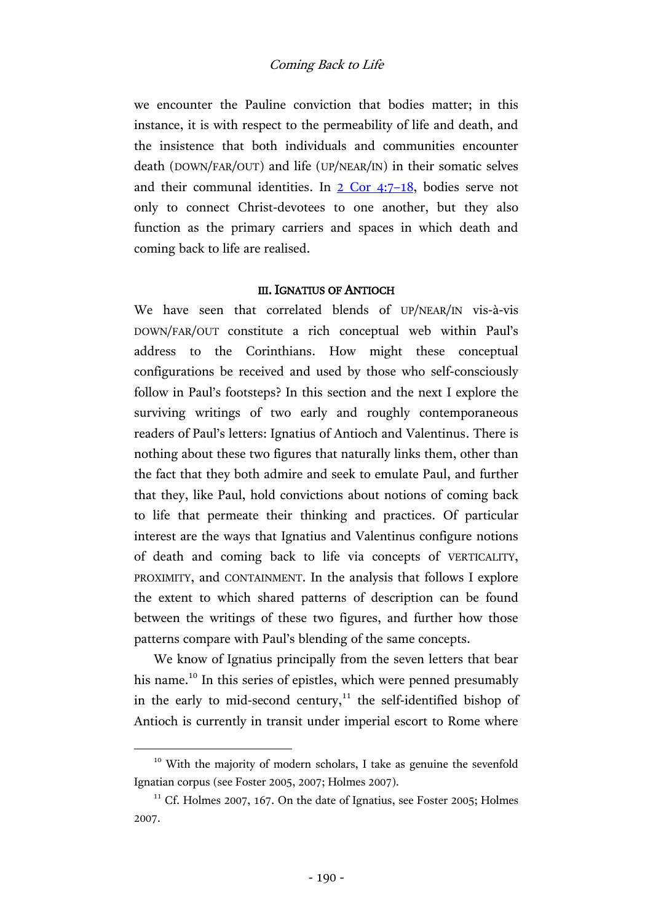we encounter the Pauline conviction that bodies matter; in this instance, it is with respect to the permeability of life and death, and the insistence that both individuals and communities encounter death (DOWN/FAR/OUT) and life (UP/NEAR/IN) in their somatic selves and their communal identities. In  $2$  Cor 4:7–18, bodies serve not only to connect Christ-devotees to one another, but they also function as the primary carriers and spaces in which death and coming back to life are realised.

## III. IGNATIUS OF ANTIOCH

We have seen that correlated blends of UP/NEAR/IN vis-à-vis DOWN/FAR/OUT constitute a rich conceptual web within Paul's address to the Corinthians. How might these conceptual configurations be received and used by those who self-consciously follow in Paul's footsteps? In this section and the next I explore the surviving writings of two early and roughly contemporaneous readers of Paul's letters: Ignatius of Antioch and Valentinus. There is nothing about these two figures that naturally links them, other than the fact that they both admire and seek to emulate Paul, and further that they, like Paul, hold convictions about notions of coming back to life that permeate their thinking and practices. Of particular interest are the ways that Ignatius and Valentinus configure notions of death and coming back to life via concepts of VERTICALITY, PROXIMITY, and CONTAINMENT. In the analysis that follows I explore the extent to which shared patterns of description can be found between the writings of these two figures, and further how those patterns compare with Paul's blending of the same concepts.

We know of Ignatius principally from the seven letters that bear his name.<sup>10</sup> In this series of epistles, which were penned presumably in the early to mid-second century, $11$  the self-identified bishop of Antioch is currently in transit under imperial escort to Rome where

<sup>&</sup>lt;sup>10</sup> With the majority of modern scholars, I take as genuine the sevenfold Ignatian corpus (see Foster 2005, 2007; Holmes 2007).

<sup>&</sup>lt;sup>11</sup> Cf. Holmes 2007, 167. On the date of Ignatius, see Foster 2005; Holmes 2007.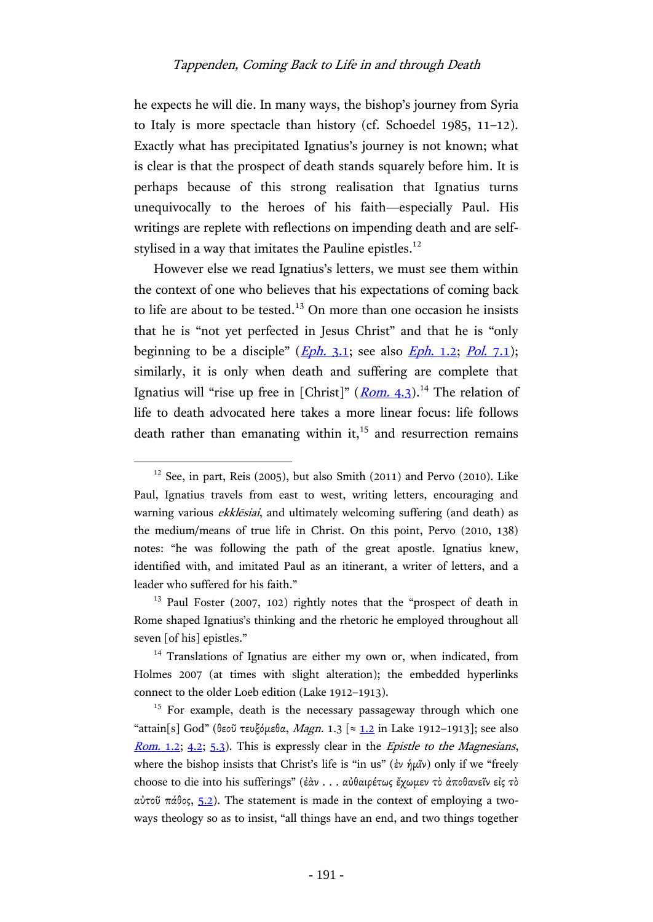he expects he will die. In many ways, the bishop's journey from Syria to Italy is more spectacle than history (cf. Schoedel 1985, 11–12). Exactly what has precipitated Ignatius's journey is not known; what is clear is that the prospect of death stands squarely before him. It is perhaps because of this strong realisation that Ignatius turns unequivocally to the heroes of his faith—especially Paul. His writings are replete with reflections on impending death and are selfstylised in a way that imitates the Pauline epistles. $^{12}$ 

However else we read Ignatius's letters, we must see them within the context of one who believes that his expectations of coming back to life are about to be tested.<sup>13</sup> On more than one occasion he insists that he is "not yet perfected in Jesus Christ" and that he is "only beginning to be a disciple" ( $Eph. 3.1$  $Eph. 3.1$ ; see also  $Eph. 1.2$ ; Pol[. 7.1\)](http://hdl.handle.net/2027/mdp.39015042084189?urlappend=%3Bseq=286); similarly, it is only when death and suffering are complete that Ignatius will "rise up free in [Christ]" (*[Rom.](http://hdl.handle.net/2027/mdp.39015042084189?urlappend=%3Bseq=242)* 4.3).<sup>14</sup> The relation of life to death advocated here takes a more linear focus: life follows death rather than emanating within it, $^{15}$  and resurrection remains

 $12$  See, in part, Reis (2005), but also Smith (2011) and Pervo (2010). Like Paul, Ignatius travels from east to west, writing letters, encouraging and warning various ekklēsiai, and ultimately welcoming suffering (and death) as the medium/means of true life in Christ. On this point, Pervo (2010, 138) notes: "he was following the path of the great apostle. Ignatius knew, identified with, and imitated Paul as an itinerant, a writer of letters, and a leader who suffered for his faith."

<sup>&</sup>lt;sup>13</sup> Paul Foster (2007, 102) rightly notes that the "prospect of death in Rome shaped Ignatius's thinking and the rhetoric he employed throughout all seven [of his] epistles."

<sup>&</sup>lt;sup>14</sup> Translations of Ignatius are either my own or, when indicated, from Holmes 2007 (at times with slight alteration); the embedded hyperlinks connect to the older Loeb edition (Lake 1912–1913).

 $15$  For example, death is the necessary passageway through which one "attain[s] God" (θεοῦ τευξόμεθα, Magn. 1.3 [ $\approx$  [1.2](http://hdl.handle.net/2027/hvd.32044052920188?urlappend=%3Bseq=210) in Lake 1912-1913]; see also [Rom.](http://hdl.handle.net/2027/mdp.39015042084189?urlappend=%3Bseq=238) 1.2; [4.2;](http://hdl.handle.net/2027/mdp.39015042084189?urlappend=%3Bseq=242) [5.3\)](http://hdl.handle.net/2027/mdp.39015042084189?urlappend=%3Bseq=244). This is expressly clear in the *Epistle to the Magnesians*, where the bishop insists that Christ's life is "in us" (ἐν ἡμῖν) only if we "freely choose to die into his sufferings" (ἐὰν . . . αὐθαιρέτως ἔχωμεν τὸ ἀποθανεῖν εἰς τὸ αὐτοῦ πάθος, [5.2\)](http://hdl.handle.net/2027/hvd.32044052920188?urlappend=%3Bseq=214). The statement is made in the context of employing a twoways theology so as to insist, "all things have an end, and two things together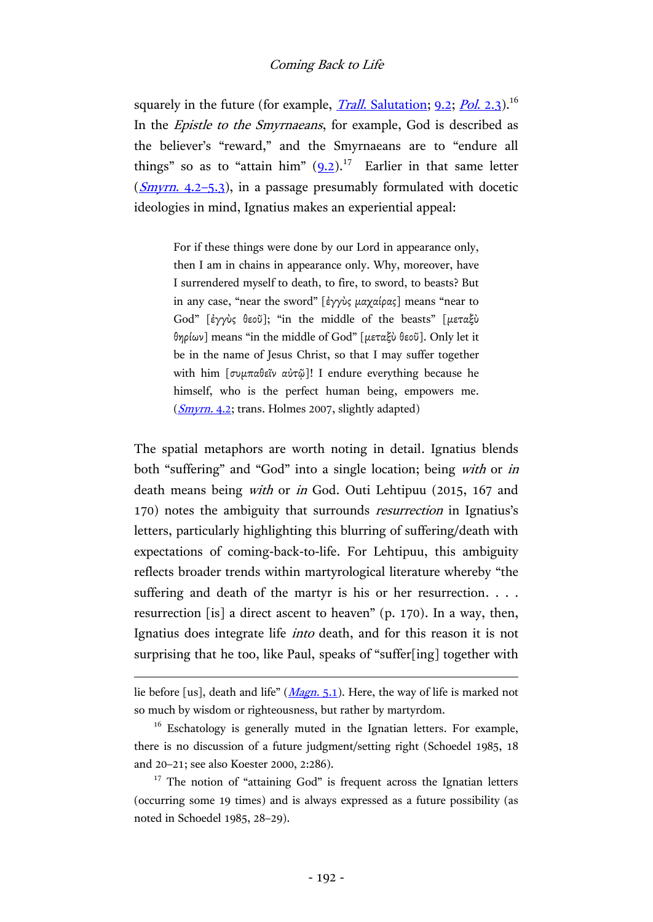squarely in the future (for example, *Trall.* Salutation; [9.2;](http://hdl.handle.net/2027/hvd.32044052920188?urlappend=%3Bseq=234) *Pol.* 2.3).<sup>16</sup> In the Epistle to the Smyrnaeans, for example, God is described as the believer's "reward," and the Smyrnaeans are to "endure all things" so as to "attain him"  $(9.2)$  $(9.2)$ .<sup>17</sup> Earlier in that same letter  $(Smvrn, 4.2-5.3)$ , in a passage presumably formulated with docetic ideologies in mind, Ignatius makes an experiential appeal:

> For if these things were done by our Lord in appearance only, then I am in chains in appearance only. Why, moreover, have I surrendered myself to death, to fire, to sword, to beasts? But in any case, "near the sword" [ἐγγὺς μαχαίρας] means "near to God" [ἐγγὺς θεοῦ]; "in the middle of the beasts" [μεταξὺ θηρίων] means "in the middle of God" [μεταξὺ θεοῦ]. Only let it be in the name of Jesus Christ, so that I may suffer together with him [συμπαθεῖν αὐτῷ]! I endure everything because he himself, who is the perfect human being, empowers me. (*[Smyrn.](http://hdl.handle.net/2027/hvd.32044052920188?urlappend=%3Bseq=270)* 4.2; trans. Holmes 2007, slightly adapted)

The spatial metaphors are worth noting in detail. Ignatius blends both "suffering" and "God" into a single location; being *with* or *in* death means being with or in God. Outi Lehtipuu (2015, 167 and 170) notes the ambiguity that surrounds resurrection in Ignatius's letters, particularly highlighting this blurring of suffering/death with expectations of coming-back-to-life. For Lehtipuu, this ambiguity reflects broader trends within martyrological literature whereby "the suffering and death of the martyr is his or her resurrection. . . . resurrection [is] a direct ascent to heaven" (p. 170). In a way, then, Ignatius does integrate life into death, and for this reason it is not surprising that he too, like Paul, speaks of "suffer[ing] together with

lie before [us], death and life" (*Magn.* 5.1). Here, the way of life is marked not so much by wisdom or righteousness, but rather by martyrdom.

<sup>&</sup>lt;sup>16</sup> Eschatology is generally muted in the Ignatian letters. For example, there is no discussion of a future judgment/setting right (Schoedel 1985, 18 and 20–21; see also Koester 2000, 2:286).

 $17$  The notion of "attaining God" is frequent across the Ignatian letters (occurring some 19 times) and is always expressed as a future possibility (as noted in Schoedel 1985, 28–29).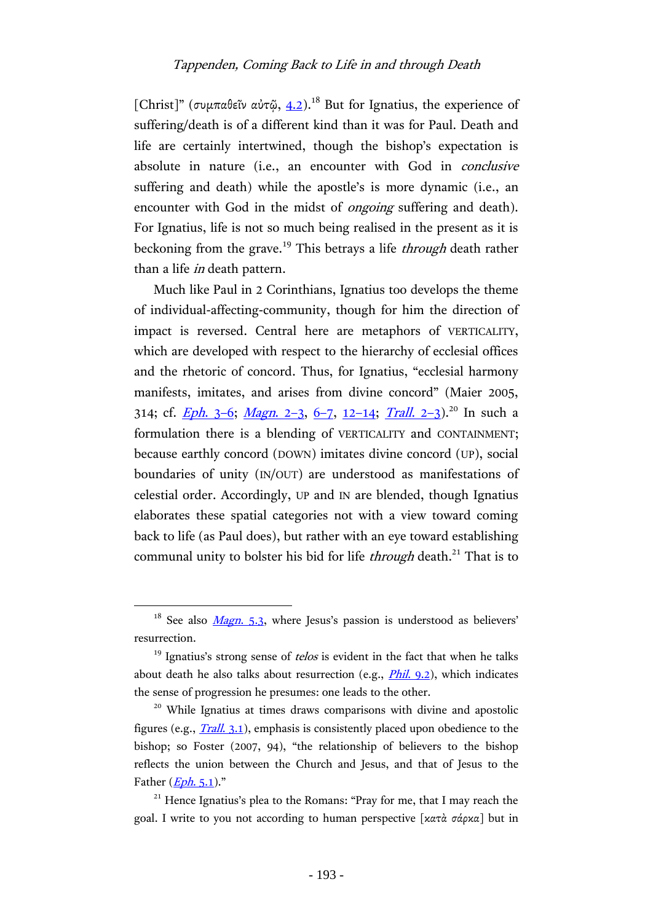[Christ]" (συμπαθεῖν αὐτῷ, [4.2\)](http://hdl.handle.net/2027/hvd.32044052920188?urlappend=%3Bseq=270).<sup>18</sup> But for Ignatius, the experience of suffering/death is of a different kind than it was for Paul. Death and life are certainly intertwined, though the bishop's expectation is absolute in nature (i.e., an encounter with God in *conclusive* suffering and death) while the apostle's is more dynamic (i.e., an encounter with God in the midst of *ongoing* suffering and death). For Ignatius, life is not so much being realised in the present as it is beckoning from the grave.<sup>19</sup> This betrays a life *through* death rather than a life in death pattern.

Much like Paul in 2 Corinthians, Ignatius too develops the theme of individual-affecting-community, though for him the direction of impact is reversed. Central here are metaphors of VERTICALITY, which are developed with respect to the hierarchy of ecclesial offices and the rhetoric of concord. Thus, for Ignatius, "ecclesial harmony manifests, imitates, and arises from divine concord" (Maier 2005, 314; cf. *[Eph](http://hdl.handle.net/2027/mdp.39015042084189?urlappend=%3Bseq=190).* 3-6; *[Magn](http://hdl.handle.net/2027/hvd.32044052920188?urlappend=%3Bseq=212).* 2-3, [6](http://hdl.handle.net/2027/hvd.32044052920188?urlappend=%3Bseq=214)-7, [12](http://hdl.handle.net/2027/hvd.32044052920188?urlappend=%3Bseq=222)-14; *[Trall](http://hdl.handle.net/2027/hvd.32044052920188?urlappend=%3Bseq=226).* 2-3).<sup>20</sup> In such a formulation there is a blending of VERTICALITY and CONTAINMENT; because earthly concord (DOWN) imitates divine concord (UP), social boundaries of unity (IN/OUT) are understood as manifestations of celestial order. Accordingly, UP and IN are blended, though Ignatius elaborates these spatial categories not with a view toward coming back to life (as Paul does), but rather with an eye toward establishing communal unity to bolster his bid for life *through* death.<sup>21</sup> That is to

<sup>&</sup>lt;sup>18</sup> See also *[Magn](http://hdl.handle.net/2027/hvd.32044052920188?urlappend=%3Bseq=214)*, 5.3, where Jesus's passion is understood as believers' resurrection.

 $19$  Ignatius's strong sense of *telos* is evident in the fact that when he talks about death he also talks about resurrection (e.g.,  $\frac{Phil. 9.2}{$ ), which indicates the sense of progression he presumes: one leads to the other.

<sup>&</sup>lt;sup>20</sup> While Ignatius at times draws comparisons with divine and apostolic figures (e.g., *Trall.* 3.1), emphasis is consistently placed upon obedience to the bishop; so Foster (2007, 94), "the relationship of believers to the bishop reflects the union between the Church and Jesus, and that of Jesus to the Father  $(Eph. 5.1)$  $(Eph. 5.1)$  $(Eph. 5.1)$ ."

<sup>&</sup>lt;sup>21</sup> Hence Ignatius's plea to the Romans: "Pray for me, that I may reach the goal. I write to you not according to human perspective [κατὰ σάρκα] but in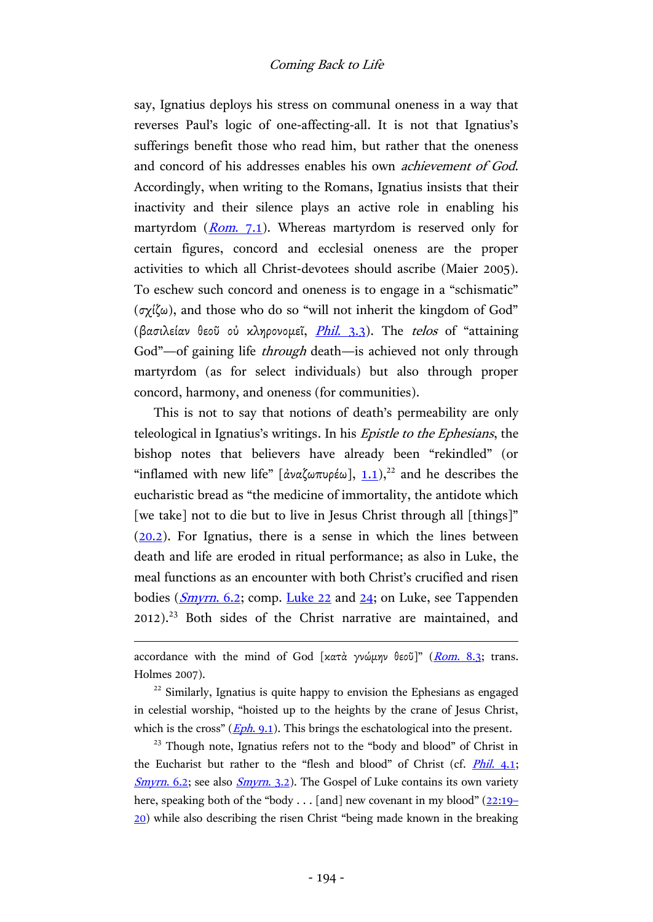say, Ignatius deploys his stress on communal oneness in a way that reverses Paul's logic of one-affecting-all. It is not that Ignatius's sufferings benefit those who read him, but rather that the oneness and concord of his addresses enables his own achievement of God. Accordingly, when writing to the Romans, Ignatius insists that their inactivity and their silence plays an active role in enabling his martyrdom  $(Rom. 7.1)$  $(Rom. 7.1)$ . Whereas martyrdom is reserved only for certain figures, concord and ecclesial oneness are the proper activities to which all Christ-devotees should ascribe (Maier 2005). To eschew such concord and oneness is to engage in a "schismatic" (σχίζω), and those who do so "will not inherit the kingdom of God" (βασιλείαν θεοῦ οὐ κληρονομεῖ, *Phil.* 3.3). The telos of "attaining God"—of gaining life *through* death—is achieved not only through martyrdom (as for select individuals) but also through proper concord, harmony, and oneness (for communities).

This is not to say that notions of death's permeability are only teleological in Ignatius's writings. In his Epistle to the Ephesians, the bishop notes that believers have already been "rekindled" (or "inflamed with new life" [ἀναζωπυρέω],  $1.1$ ),<sup>22</sup> and he describes the eucharistic bread as "the medicine of immortality, the antidote which [we take] not to die but to live in Jesus Christ through all [things]" [\(20.2\)](http://hdl.handle.net/2027/mdp.39015042084189?urlappend=%3Bseq=208). For Ignatius, there is a sense in which the lines between death and life are eroded in ritual performance; as also in Luke, the meal functions as an encounter with both Christ's crucified and risen bodies ( $Smyrn$ , 6.2; comp. [Luke 22](http://www.academic-bible.com/bible-text/Luke22/NA/) and [24;](http://www.academic-bible.com/bible-text/Luke24/NA/) on Luke, see Tappenden 2012). <sup>23</sup> Both sides of the Christ narrative are maintained, and

accordance with the mind of God [κατὰ γνώμην θεοῦ]" ([Rom.](http://hdl.handle.net/2027/mdp.39015042084189?urlappend=%3Bseq=248) 8.3; trans. Holmes 2007).

 $\overline{a}$ 

 $22$  Similarly, Ignatius is quite happy to envision the Ephesians as engaged in celestial worship, "hoisted up to the heights by the crane of Jesus Christ, which is the cross"  $(\underline{Eph. 9.1})$ . This brings the eschatological into the present.

 $23$  Though note, Ignatius refers not to the "body and blood" of Christ in the Eucharist but rather to the "flesh and blood" of Christ (cf. *Phil. 4.1*; [Smyrn](http://hdl.handle.net/2027/hvd.32044052920188?urlappend=%3Bseq=268). 6.2; see also Smyrn. 3.2). The Gospel of Luke contains its own variety here, speaking both of the "body . . . [and] new covenant in my blood"  $(22:19 (22:19 (22:19-$ [20](http://www.academic-bible.com/bible-text/Luke22.19-20/NA/)) while also describing the risen Christ "being made known in the breaking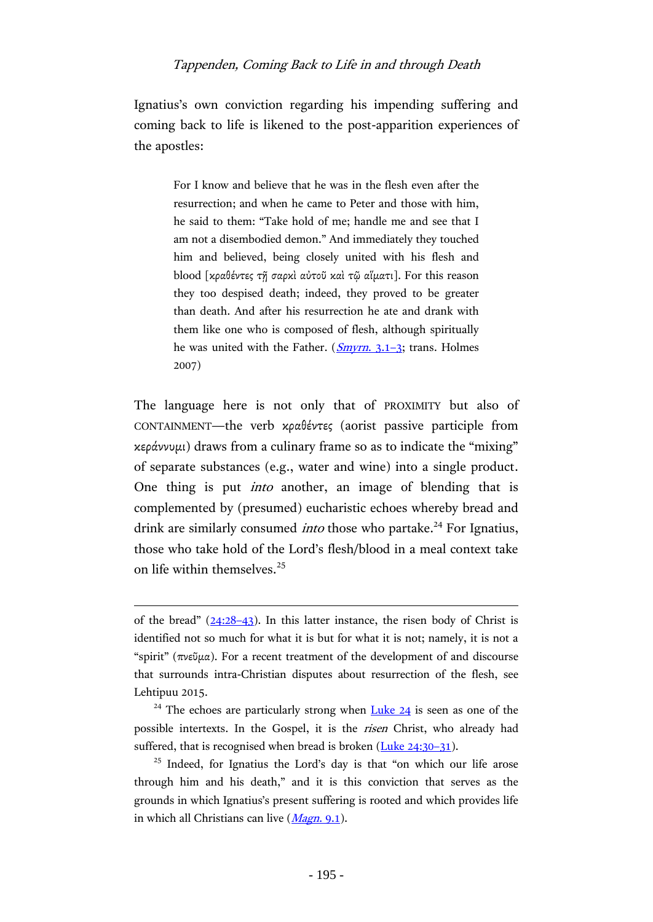Ignatius's own conviction regarding his impending suffering and coming back to life is likened to the post-apparition experiences of the apostles:

> For I know and believe that he was in the flesh even after the resurrection; and when he came to Peter and those with him, he said to them: "Take hold of me; handle me and see that I am not a disembodied demon." And immediately they touched him and believed, being closely united with his flesh and blood [κραθέντες τῇ σαρκὶ αὐτοῦ καὶ τῷ αἵματι]. For this reason they too despised death; indeed, they proved to be greater than death. And after his resurrection he ate and drank with them like one who is composed of flesh, although spiritually he was united with the Father.  $(Smyrn, 3.1-3;$  $(Smyrn, 3.1-3;$  $(Smyrn, 3.1-3;$  trans. Holmes 2007)

The language here is not only that of PROXIMITY but also of CONTAINMENT—the verb κραθέντες (aorist passive participle from κεράννυμι) draws from a culinary frame so as to indicate the "mixing" of separate substances (e.g., water and wine) into a single product. One thing is put into another, an image of blending that is complemented by (presumed) eucharistic echoes whereby bread and drink are similarly consumed *into* those who partake.<sup>24</sup> For Ignatius, those who take hold of the Lord's flesh/blood in a meal context take on life within themselves.<sup>25</sup>

of the bread"  $(24:28-43)$  $(24:28-43)$  $(24:28-43)$ . In this latter instance, the risen body of Christ is identified not so much for what it is but for what it is not; namely, it is not a "spirit" (πνεῦμα). For a recent treatment of the development of and discourse that surrounds intra-Christian disputes about resurrection of the flesh, see Lehtipuu 2015.

<sup>&</sup>lt;sup>24</sup> The echoes are particularly strong when  $Luke$  24 is seen as one of the possible intertexts. In the Gospel, it is the risen Christ, who already had suffered, that is recognised when bread is broken [\(Luke 24:30](http://www.academic-bible.com/bible-text/luke24.30-31/NA/)-31).

<sup>&</sup>lt;sup>25</sup> Indeed, for Ignatius the Lord's day is that "on which our life arose through him and his death," and it is this conviction that serves as the grounds in which Ignatius's present suffering is rooted and which provides life in which all Christians can live  $(Magn. 9.1)$  $(Magn. 9.1)$  $(Magn. 9.1)$ .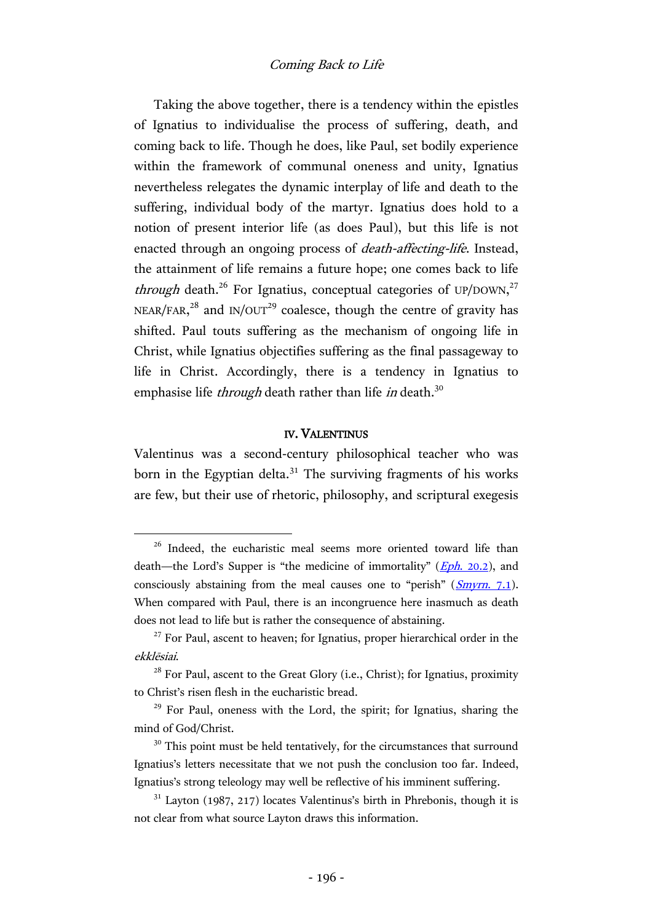Taking the above together, there is a tendency within the epistles of Ignatius to individualise the process of suffering, death, and coming back to life. Though he does, like Paul, set bodily experience within the framework of communal oneness and unity, Ignatius nevertheless relegates the dynamic interplay of life and death to the suffering, individual body of the martyr. Ignatius does hold to a notion of present interior life (as does Paul), but this life is not enacted through an ongoing process of death-affecting-life. Instead, the attainment of life remains a future hope; one comes back to life *through* death.<sup>26</sup> For Ignatius, conceptual categories of UP/DOWN,<sup>27</sup> NEAR/FAR,<sup>28</sup> and IN/OUT<sup>29</sup> coalesce, though the centre of gravity has shifted. Paul touts suffering as the mechanism of ongoing life in Christ, while Ignatius objectifies suffering as the final passageway to life in Christ. Accordingly, there is a tendency in Ignatius to emphasise life *through* death rather than life *in* death.<sup>30</sup>

## IV. VALENTINUS

Valentinus was a second-century philosophical teacher who was born in the Egyptian delta. $31$  The surviving fragments of his works are few, but their use of rhetoric, philosophy, and scriptural exegesis

<sup>&</sup>lt;sup>26</sup> Indeed, the eucharistic meal seems more oriented toward life than death—the Lord's Supper is "the medicine of immortality"  $(Eph. 20.2)$  $(Eph. 20.2)$ , and consciously abstaining from the meal causes one to "perish"  $(Smyrn, 7.1)$  $(Smyrn, 7.1)$  $(Smyrn, 7.1)$ . When compared with Paul, there is an incongruence here inasmuch as death does not lead to life but is rather the consequence of abstaining.

 $27$  For Paul, ascent to heaven; for Ignatius, proper hierarchical order in the ekklēsiai.

<sup>&</sup>lt;sup>28</sup> For Paul, ascent to the Great Glory (i.e., Christ); for Ignatius, proximity to Christ's risen flesh in the eucharistic bread.

<sup>&</sup>lt;sup>29</sup> For Paul, oneness with the Lord, the spirit; for Ignatius, sharing the mind of God/Christ.

 $30$  This point must be held tentatively, for the circumstances that surround Ignatius's letters necessitate that we not push the conclusion too far. Indeed, Ignatius's strong teleology may well be reflective of his imminent suffering.

 $31$  Layton (1987, 217) locates Valentinus's birth in Phrebonis, though it is not clear from what source Layton draws this information.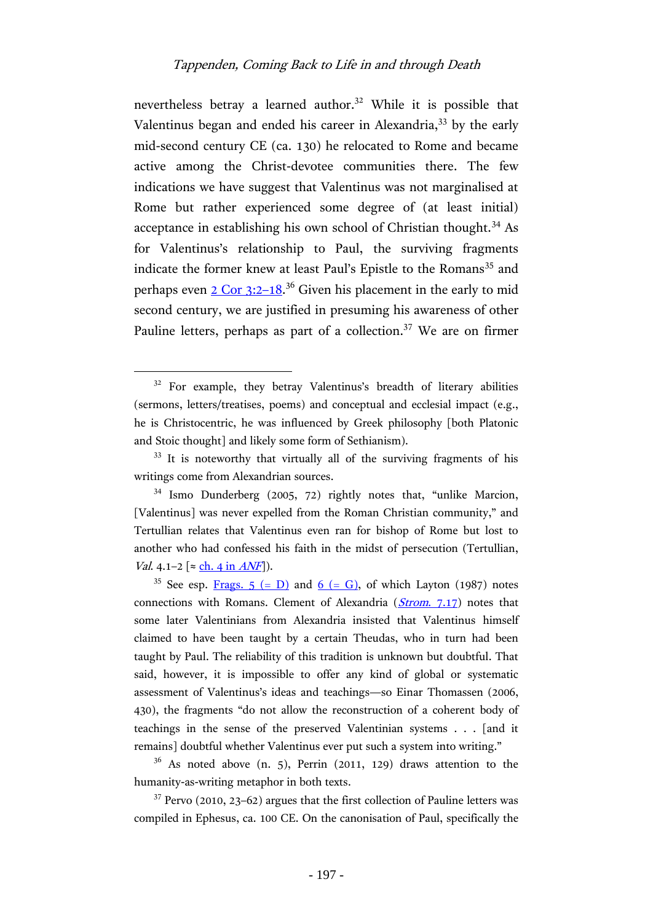nevertheless betray a learned author.<sup>32</sup> While it is possible that Valentinus began and ended his career in Alexandria,<sup>33</sup> by the early mid-second century CE (ca. 130) he relocated to Rome and became active among the Christ-devotee communities there. The few indications we have suggest that Valentinus was not marginalised at Rome but rather experienced some degree of (at least initial) acceptance in establishing his own school of Christian thought.<sup>34</sup> As for Valentinus's relationship to Paul, the surviving fragments indicate the former knew at least Paul's Epistle to the Romans<sup>35</sup> and perhaps even [2 Cor 3:2](http://www.academic-bible.com/bible-text/2Corinthians3.2-18/NA/)-18.<sup>36</sup> Given his placement in the early to mid second century, we are justified in presuming his awareness of other Pauline letters, perhaps as part of a collection.<sup>37</sup> We are on firmer

 $\overline{a}$ 

 $36$  As noted above (n. 5), Perrin (2011, 129) draws attention to the humanity-as-writing metaphor in both texts.

 $37$  Pervo (2010, 23–62) argues that the first collection of Pauline letters was compiled in Ephesus, ca. 100 CE. On the canonisation of Paul, specifically the

<sup>&</sup>lt;sup>32</sup> For example, they betray Valentinus's breadth of literary abilities (sermons, letters/treatises, poems) and conceptual and ecclesial impact (e.g., he is Christocentric, he was influenced by Greek philosophy [both Platonic and Stoic thought] and likely some form of Sethianism).

<sup>&</sup>lt;sup>33</sup> It is noteworthy that virtually all of the surviving fragments of his writings come from Alexandrian sources.

<sup>34</sup> Ismo Dunderberg (2005, 72) rightly notes that, "unlike Marcion, [Valentinus] was never expelled from the Roman Christian community," and Tertullian relates that Valentinus even ran for bishop of Rome but lost to another who had confessed his faith in the midst of persecution (Tertullian, *Val.* 4.1–2 [≈  $\frac{\text{ch. 4 in } ANF}{\text{ch. 4}}$  $\frac{\text{ch. 4 in } ANF}{\text{ch. 4}}$  $\frac{\text{ch. 4 in } ANF}{\text{ch. 4}}$ ]).

<sup>&</sup>lt;sup>35</sup> See esp. <u>[Frags. 5 \(= D\)](http://www.earlychristianwritings.com/text/valentinus-d.html)</u> and <u>6 (= G)</u>, of which Layton (1987) notes connections with Romans. Clement of Alexandria  $(Strom. 7.17)$  $(Strom. 7.17)$  notes that some later Valentinians from Alexandria insisted that Valentinus himself claimed to have been taught by a certain Theudas, who in turn had been taught by Paul. The reliability of this tradition is unknown but doubtful. That said, however, it is impossible to offer any kind of global or systematic assessment of Valentinus's ideas and teachings—so Einar Thomassen (2006, 430), the fragments "do not allow the reconstruction of a coherent body of teachings in the sense of the preserved Valentinian systems . . . [and it remains] doubtful whether Valentinus ever put such a system into writing."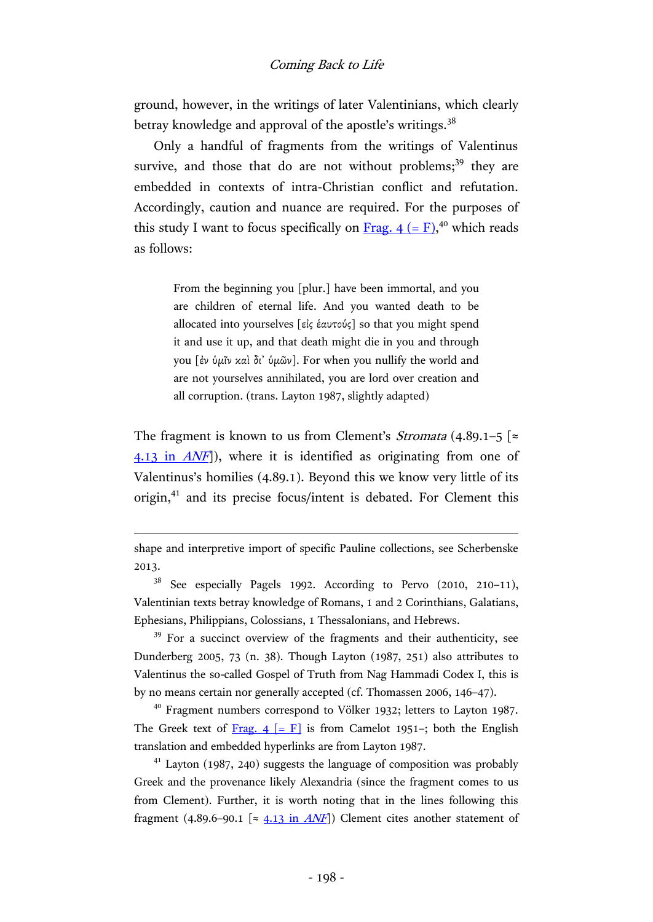ground, however, in the writings of later Valentinians, which clearly betray knowledge and approval of the apostle's writings. $^{38}$ 

Only a handful of fragments from the writings of Valentinus survive, and those that do are not without problems;<sup>39</sup> they are embedded in contexts of intra-Christian conflict and refutation. Accordingly, caution and nuance are required. For the purposes of this study I want to focus specifically on  $\underline{Frag. 4 (= F)}^{40}$ , which reads as follows:

> From the beginning you [plur.] have been immortal, and you are children of eternal life. And you wanted death to be allocated into yourselves [εἰς ἑαυτούς] so that you might spend it and use it up, and that death might die in you and through you [ἐν ὑμῖν καὶ δι᾿ ὑμῶν]. For when you nullify the world and are not yourselves annihilated, you are lord over creation and all corruption. (trans. Layton 1987, slightly adapted)

The fragment is known to us from Clement's *Stromata* (4.89.1–5 [ $\approx$ [4.13 in](http://hdl.handle.net/2027/njp.32101075295004?urlappend=%3Bseq=437) ANF]), where it is identified as originating from one of Valentinus's homilies (4.89.1). Beyond this we know very little of its origin,<sup>41</sup> and its precise focus/intent is debated. For Clement this

 $\overline{a}$ 

<sup>39</sup> For a succinct overview of the fragments and their authenticity, see Dunderberg 2005, 73 (n. 38). Though Layton (1987, 251) also attributes to Valentinus the so-called Gospel of Truth from Nag Hammadi Codex I, this is by no means certain nor generally accepted (cf. Thomassen 2006, 146–47).

<sup>40</sup> Fragment numbers correspond to Völker 1932; letters to Layton 1987. The Greek text of Frag.  $4$  [= F] is from Camelot 1951–; both the English translation and embedded hyperlinks are from Layton 1987.

 $41$  Layton (1987, 240) suggests the language of composition was probably Greek and the provenance likely Alexandria (since the fragment comes to us from Clement). Further, it is worth noting that in the lines following this fragment (4.89.6–90.1 [ $\approx$  [4.13 in](http://hdl.handle.net/2027/njp.32101075295004?urlappend=%3Bseq=437) ANF]) Clement cites another statement of

shape and interpretive import of specific Pauline collections, see Scherbenske 2013.

<sup>38</sup> See especially Pagels 1992. According to Pervo (2010, 210–11), Valentinian texts betray knowledge of Romans, 1 and 2 Corinthians, Galatians, Ephesians, Philippians, Colossians, 1 Thessalonians, and Hebrews.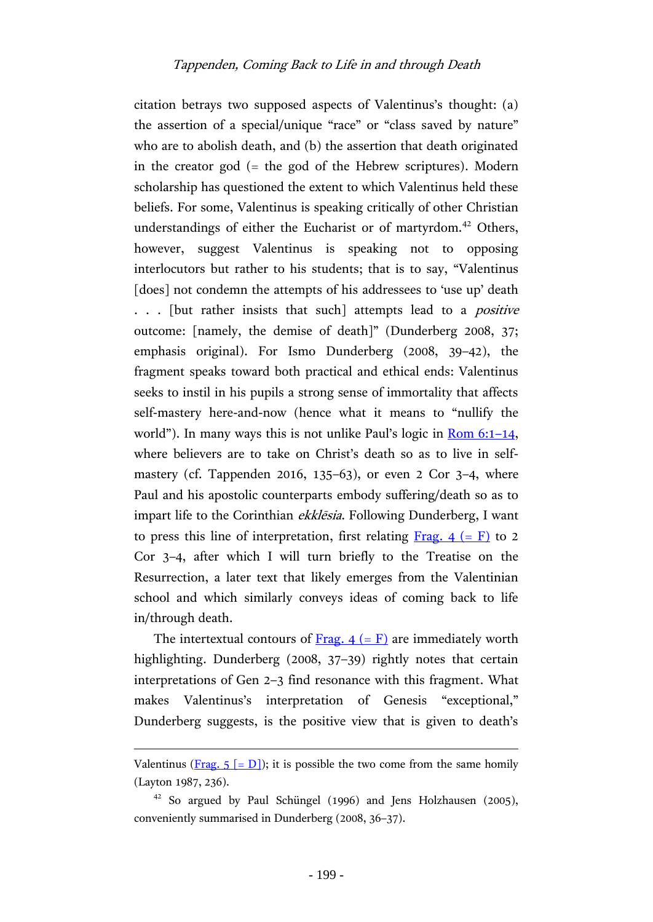citation betrays two supposed aspects of Valentinus's thought: (a) the assertion of a special/unique "race" or "class saved by nature" who are to abolish death, and (b) the assertion that death originated in the creator god (= the god of the Hebrew scriptures). Modern scholarship has questioned the extent to which Valentinus held these beliefs. For some, Valentinus is speaking critically of other Christian understandings of either the Eucharist or of martyrdom.<sup>42</sup> Others, however, suggest Valentinus is speaking not to opposing interlocutors but rather to his students; that is to say, "Valentinus [does] not condemn the attempts of his addressees to 'use up' death ... [but rather insists that such] attempts lead to a *positive* outcome: [namely, the demise of death]" (Dunderberg 2008, 37; emphasis original). For Ismo Dunderberg (2008, 39–42), the fragment speaks toward both practical and ethical ends: Valentinus seeks to instil in his pupils a strong sense of immortality that affects self-mastery here-and-now (hence what it means to "nullify the world"). In many ways this is not unlike Paul's logic in Rom  $6:1-14$ , where believers are to take on Christ's death so as to live in selfmastery (cf. Tappenden 2016, 135–63), or even 2 Cor 3–4, where Paul and his apostolic counterparts embody suffering/death so as to impart life to the Corinthian *ekklēsia*. Following Dunderberg, I want to press this line of interpretation, first relating Frag.  $4 (= F)$  to 2 Cor 3–4, after which I will turn briefly to the Treatise on the Resurrection, a later text that likely emerges from the Valentinian school and which similarly conveys ideas of coming back to life in/through death.

The intertextual contours of <u>Frag.  $4 (= F)$ </u> are immediately worth highlighting. Dunderberg (2008, 37-39) rightly notes that certain interpretations of Gen 2–3 find resonance with this fragment. What makes Valentinus's interpretation of Genesis "exceptional," Dunderberg suggests, is the positive view that is given to death's

Valentinus (Frag.  $5$  [= D]); it is possible the two come from the same homily (Layton 1987, 236).

 $42$  So argued by Paul Schüngel (1996) and Jens Holzhausen (2005), conveniently summarised in Dunderberg (2008, 36–37).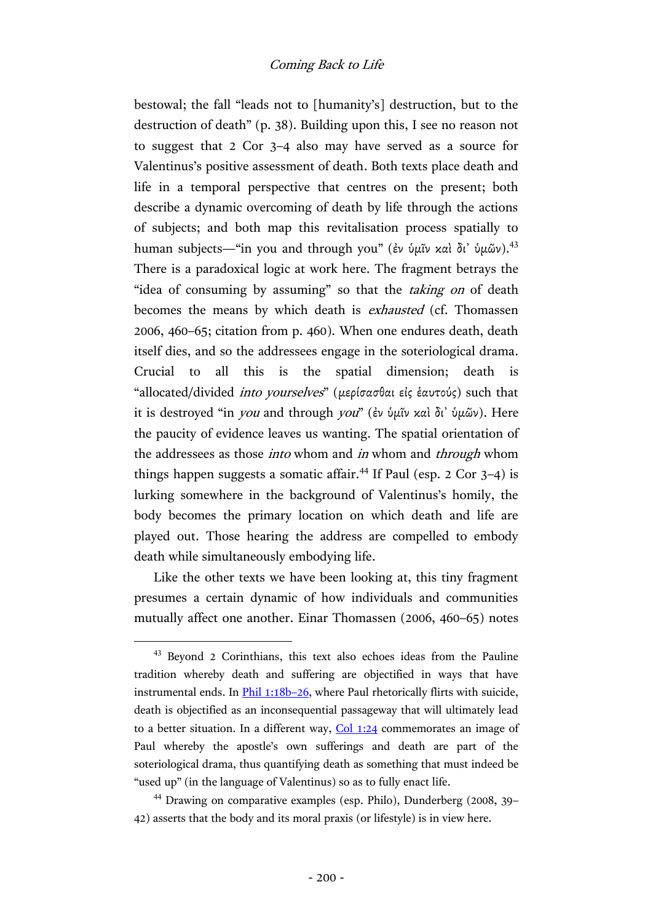bestowal; the fall "leads not to [humanity's] destruction, but to the destruction of death" (p. 38). Building upon this, I see no reason not to suggest that 2 Cor 3–4 also may have served as a source for Valentinus's positive assessment of death. Both texts place death and life in a temporal perspective that centres on the present; both describe a dynamic overcoming of death by life through the actions of subjects; and both map this revitalisation process spatially to human subjects—"in you and through you" (ἐν ὑμῖν καὶ δι' ὑμῶν).<sup>43</sup> There is a paradoxical logic at work here. The fragment betrays the "idea of consuming by assuming" so that the *taking on* of death becomes the means by which death is exhausted (cf. Thomassen 2006, 460–65; citation from p. 460). When one endures death, death itself dies, and so the addressees engage in the soteriological drama. Crucial to all this is the spatial dimension; death is "allocated/divided into yourselves" (μερίσασθαι εἰς ἑαυτούς) such that it is destroyed "in *you* and through *you*" (ἐν ὑμῖν καὶ δι' ὑμῶν). Here the paucity of evidence leaves us wanting. The spatial orientation of the addressees as those *into* whom and *in* whom and *through* whom things happen suggests a somatic affair.<sup>44</sup> If Paul (esp. 2 Cor  $3-4$ ) is lurking somewhere in the background of Valentinus's homily, the body becomes the primary location on which death and life are played out. Those hearing the address are compelled to embody death while simultaneously embodying life.

Like the other texts we have been looking at, this tiny fragment presumes a certain dynamic of how individuals and communities mutually affect one another. Einar Thomassen (2006, 460–65) notes

<sup>43</sup> Beyond 2 Corinthians, this text also echoes ideas from the Pauline tradition whereby death and suffering are objectified in ways that have instrumental ends. In **Phil 1:18b-26**, where Paul rhetorically flirts with suicide, death is objectified as an inconsequential passageway that will ultimately lead to a better situation. In a different way,  $Col 1:24$  commemorates an image of Paul whereby the apostle's own sufferings and death are part of the soteriological drama, thus quantifying death as something that must indeed be "used up" (in the language of Valentinus) so as to fully enact life.

<sup>44</sup> Drawing on comparative examples (esp. Philo), Dunderberg (2008, 39– 42) asserts that the body and its moral praxis (or lifestyle) is in view here.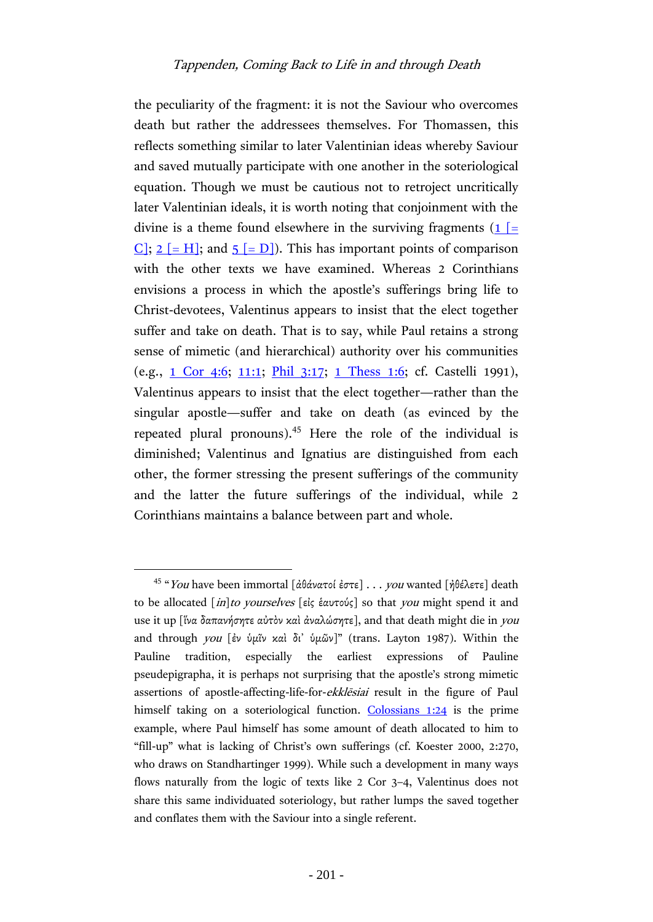the peculiarity of the fragment: it is not the Saviour who overcomes death but rather the addressees themselves. For Thomassen, this reflects something similar to later Valentinian ideas whereby Saviour and saved mutually participate with one another in the soteriological equation. Though we must be cautious not to retroject uncritically later Valentinian ideals, it is worth noting that conjoinment with the divine is a theme found elsewhere in the surviving fragments  $(1)$  [= [C\];](http://www.earlychristianwritings.com/text/valentinus-c.html)  $2$  [= H]; and  $5$  [= D]). This has important points of comparison with the other texts we have examined. Whereas 2 Corinthians envisions a process in which the apostle's sufferings bring life to Christ-devotees, Valentinus appears to insist that the elect together suffer and take on death. That is to say, while Paul retains a strong sense of mimetic (and hierarchical) authority over his communities (e.g., [1 Cor 4:6;](http://www.academic-bible.com/bible-text/1Corinthians4.6/NA/) [11:1;](http://www.academic-bible.com/bible-text/1Corinthians11.1/NA/) [Phil 3:17;](http://www.academic-bible.com/bible-text/Philippians3.17/NA/) [1 Thess](http://www.academic-bible.com/bible-text/1Thessalonians1.6/NA/) 1:6; cf. Castelli 1991), Valentinus appears to insist that the elect together—rather than the singular apostle—suffer and take on death (as evinced by the repeated plural pronouns).<sup>45</sup> Here the role of the individual is diminished; Valentinus and Ignatius are distinguished from each other, the former stressing the present sufferings of the community and the latter the future sufferings of the individual, while 2 Corinthians maintains a balance between part and whole.

<sup>&</sup>lt;sup>45</sup> "You have been immortal [ἀθάνατοί ἐστε] . . . you wanted [ἠθέλετε] death to be allocated [in]to yourselves [εἰς ἑαυτούς] so that you might spend it and use it up [ἵνα δαπανήσητε αὐτὸν καὶ ἀναλώσητε], and that death might die in you and through you [ἐν ὑμῖν καὶ δι᾿ ὑμῶν]" (trans. Layton 1987). Within the Pauline tradition, especially the earliest expressions of Pauline pseudepigrapha, it is perhaps not surprising that the apostle's strong mimetic assertions of apostle-affecting-life-for-ekklēsiai result in the figure of Paul himself taking on a soteriological function. [Colossians 1:24](http://www.academic-bible.com/bible-text/Colossians1.24/NA/) is the prime example, where Paul himself has some amount of death allocated to him to "fill-up" what is lacking of Christ's own sufferings (cf. Koester 2000, 2:270, who draws on Standhartinger 1999). While such a development in many ways flows naturally from the logic of texts like 2 Cor 3–4, Valentinus does not share this same individuated soteriology, but rather lumps the saved together and conflates them with the Saviour into a single referent.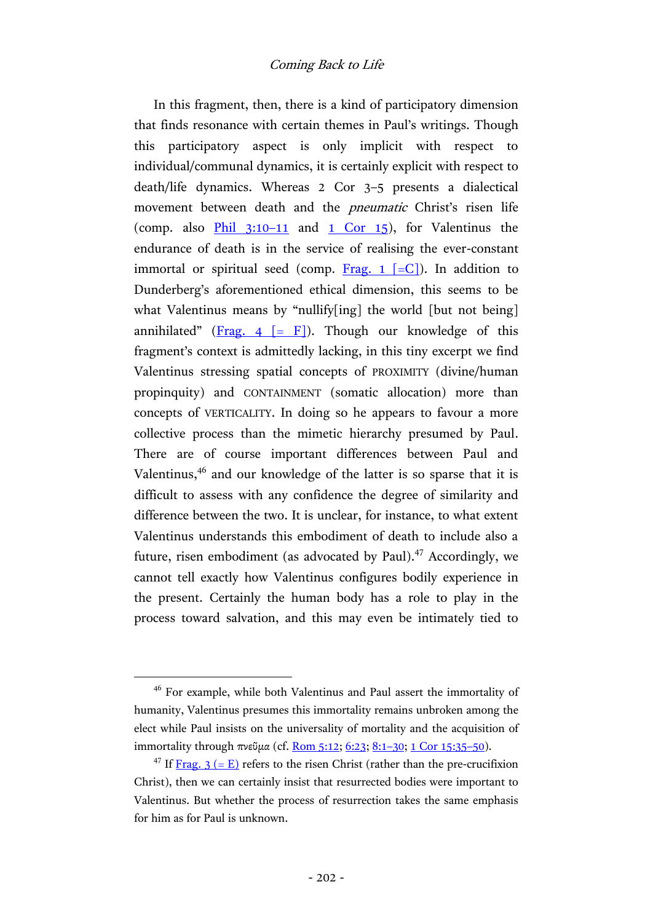In this fragment, then, there is a kind of participatory dimension that finds resonance with certain themes in Paul's writings. Though this participatory aspect is only implicit with respect to individual/communal dynamics, it is certainly explicit with respect to death/life dynamics. Whereas 2 Cor 3–5 presents a dialectical movement between death and the pneumatic Christ's risen life (comp. also  $\frac{\text{Phi}}{1}$  3:10–11 and [1 Cor 15\)](http://www.academic-bible.com/bible-text/1Corinthians15/NA/), for Valentinus the endurance of death is in the service of realising the ever-constant immortal or spiritual seed (comp. Frag. 1  $[-C]$ ). In addition to Dunderberg's aforementioned ethical dimension, this seems to be what Valentinus means by "nullify[ing] the world [but not being] annihilated" (Frag. 4  $\lceil$  = F $\rceil$ ). Though our knowledge of this fragment's context is admittedly lacking, in this tiny excerpt we find Valentinus stressing spatial concepts of PROXIMITY (divine/human propinquity) and CONTAINMENT (somatic allocation) more than concepts of VERTICALITY. In doing so he appears to favour a more collective process than the mimetic hierarchy presumed by Paul. There are of course important differences between Paul and Valentinus,<sup>46</sup> and our knowledge of the latter is so sparse that it is difficult to assess with any confidence the degree of similarity and difference between the two. It is unclear, for instance, to what extent Valentinus understands this embodiment of death to include also a future, risen embodiment (as advocated by Paul). $47$  Accordingly, we cannot tell exactly how Valentinus configures bodily experience in the present. Certainly the human body has a role to play in the process toward salvation, and this may even be intimately tied to

<sup>&</sup>lt;sup>46</sup> For example, while both Valentinus and Paul assert the immortality of humanity, Valentinus presumes this immortality remains unbroken among the elect while Paul insists on the universality of mortality and the acquisition of immortality through πνεῦμα (cf. [Rom 5:12;](http://www.academic-bible.com/bible-text/Romans5.12/NA/) [6:23;](http://www.academic-bible.com/bible-text/Romans6.23/NA/) [8:1](http://www.academic-bible.com/bible-text/Romans8.1-30/NA/)-30; [1 Cor 15:35](http://www.academic-bible.com/bible-text/1Corinthians15.35-50/NA/)-50).

<sup>&</sup>lt;sup>47</sup> If [Frag. 3 \(= E\)](http://www.earlychristianwritings.com/text/valentinus-e.html) refers to the risen Christ (rather than the pre-crucifixion Christ), then we can certainly insist that resurrected bodies were important to Valentinus. But whether the process of resurrection takes the same emphasis for him as for Paul is unknown.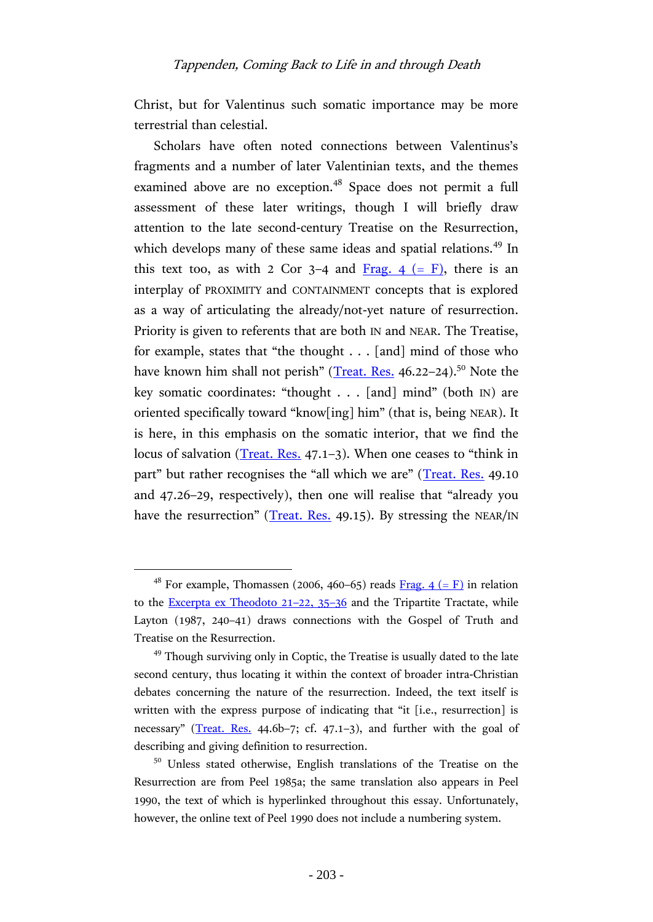## Tappenden, Coming Back to Life in and through Death

Christ, but for Valentinus such somatic importance may be more terrestrial than celestial.

Scholars have often noted connections between Valentinus's fragments and a number of later Valentinian texts, and the themes examined above are no exception.<sup>48</sup> Space does not permit a full assessment of these later writings, though I will briefly draw attention to the late second-century Treatise on the Resurrection, which develops many of these same ideas and spatial relations.<sup>49</sup> In this text too, as with 2 Cor 3–4 and Frag.  $4 (= F)$ , there is an interplay of PROXIMITY and CONTAINMENT concepts that is explored as a way of articulating the already/not-yet nature of resurrection. Priority is given to referents that are both IN and NEAR. The Treatise, for example, states that "the thought . . . [and] mind of those who have known him shall not perish" ([Treat. Res.](http://www.earlychristianwritings.com/text/treatiseresurrection.html) 46.22–24).<sup>50</sup> Note the key somatic coordinates: "thought . . . [and] mind" (both IN) are oriented specifically toward "know[ing] him" (that is, being NEAR). It is here, in this emphasis on the somatic interior, that we find the locus of salvation [\(Treat. Res.](http://www.earlychristianwritings.com/text/treatiseresurrection.html) 47.1–3). When one ceases to "think in part" but rather recognises the "all which we are" ([Treat. Res.](http://www.earlychristianwritings.com/text/treatiseresurrection.html) 49.10) and 47.26–29, respectively), then one will realise that "already you have the resurrection" ([Treat. Res.](http://www.earlychristianwritings.com/text/treatiseresurrection.html) 49.15). By stressing the NEAR/IN

<sup>&</sup>lt;sup>48</sup> For example, Thomassen (2006, 460–65) reads <u>Frag. 4 (= F)</u> in relation to the **Excerpta ex Theodoto 21-22, 35-36** and the Tripartite Tractate, while Layton (1987, 240–41) draws connections with the Gospel of Truth and Treatise on the Resurrection.

 $49$  Though surviving only in Coptic, the Treatise is usually dated to the late second century, thus locating it within the context of broader intra-Christian debates concerning the nature of the resurrection. Indeed, the text itself is written with the express purpose of indicating that "it [i.e., resurrection] is necessary" ([Treat. Res.](http://www.earlychristianwritings.com/text/treatiseresurrection.html) 44.6b-7; cf. 47.1-3), and further with the goal of describing and giving definition to resurrection.

<sup>50</sup> Unless stated otherwise, English translations of the Treatise on the Resurrection are from Peel 1985a; the same translation also appears in Peel 1990, the text of which is hyperlinked throughout this essay. Unfortunately, however, the online text of Peel 1990 does not include a numbering system.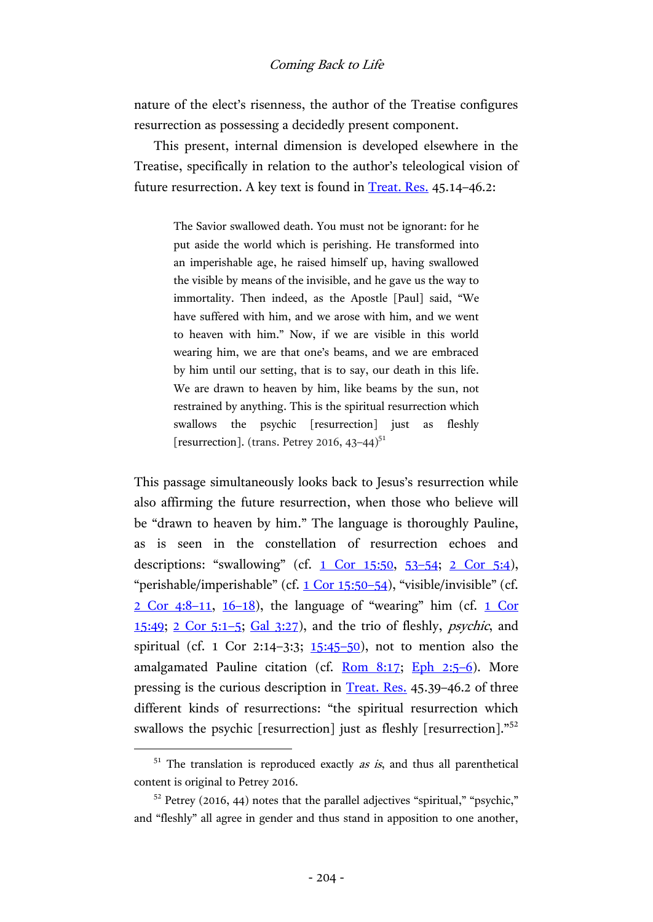nature of the elect's risenness, the author of the Treatise configures resurrection as possessing a decidedly present component.

This present, internal dimension is developed elsewhere in the Treatise, specifically in relation to the author's teleological vision of future resurrection. A key text is found in [Treat. Res.](http://www.earlychristianwritings.com/text/treatiseresurrection.html) 45.14–46.2:

> The Savior swallowed death. You must not be ignorant: for he put aside the world which is perishing. He transformed into an imperishable age, he raised himself up, having swallowed the visible by means of the invisible, and he gave us the way to immortality. Then indeed, as the Apostle [Paul] said, "We have suffered with him, and we arose with him, and we went to heaven with him." Now, if we are visible in this world wearing him, we are that one's beams, and we are embraced by him until our setting, that is to say, our death in this life. We are drawn to heaven by him, like beams by the sun, not restrained by anything. This is the spiritual resurrection which swallows the psychic [resurrection] just as fleshly [resurrection]. (trans. Petrey 2016,  $43-44$ )<sup>51</sup>

This passage simultaneously looks back to Jesus's resurrection while also affirming the future resurrection, when those who believe will be "drawn to heaven by him." The language is thoroughly Pauline, as is seen in the constellation of resurrection echoes and descriptions: "swallowing" (cf.  $1$  Cor  $15:50$ ,  $53-54$  $53-54$ ;  $2$  Cor  $5:4$ ), "perishable/imperishable" (cf. [1 Cor 15:50](http://www.academic-bible.com/bible-text/1Corinthians15.50-54/NA/)–54), "visible/invisible" (cf.  $2$  Cor 4:8-11, [16](http://www.academic-bible.com/bible-text/2Corinthians4.16-18/NA/)-18), the language of "wearing" him (cf. 1 Cor [15:49;](http://www.academic-bible.com/bible-text/1Corinthians15.49/NA/)  $2 \text{ Cor } 5:1-5$ ;  $Gal \, 3:27$ ), and the trio of fleshly, *psychic*, and spiritual (cf. 1 Cor 2:14-3:3;  $15:45-50$  $15:45-50$ ), not to mention also the amalgamated Pauline citation (cf.  $\frac{\text{Rom } 8:17}{\text{L}}$ ; [Eph 2:5](http://www.academic-bible.com/bible-text/Ephesians2.5-6/NA/)-6). More pressing is the curious description in [Treat. Res.](http://www.earlychristianwritings.com/text/treatiseresurrection.html) 45.39–46.2 of three different kinds of resurrections: "the spiritual resurrection which swallows the psychic [resurrection] just as fleshly [resurrection]."<sup>52</sup>

 $51$  The translation is reproduced exactly as is, and thus all parenthetical content is original to Petrey 2016.

 $52$  Petrey (2016, 44) notes that the parallel adjectives "spiritual," "psychic," and "fleshly" all agree in gender and thus stand in apposition to one another,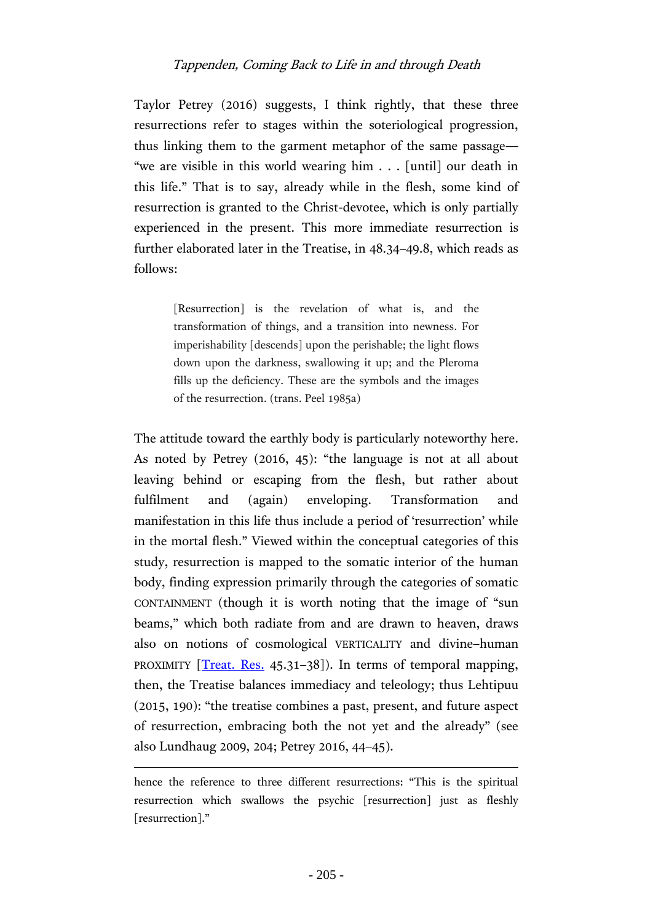# Tappenden, Coming Back to Life in and through Death

Taylor Petrey (2016) suggests, I think rightly, that these three resurrections refer to stages within the soteriological progression, thus linking them to the garment metaphor of the same passage— "we are visible in this world wearing him . . . [until] our death in this life." That is to say, already while in the flesh, some kind of resurrection is granted to the Christ-devotee, which is only partially experienced in the present. This more immediate resurrection is further elaborated later in the Treatise, in 48.34–49.8, which reads as follows:

> [Resurrection] is the revelation of what is, and the transformation of things, and a transition into newness. For imperishability [descends] upon the perishable; the light flows down upon the darkness, swallowing it up; and the Pleroma fills up the deficiency. These are the symbols and the images of the resurrection. (trans. Peel 1985a)

The attitude toward the earthly body is particularly noteworthy here. As noted by Petrey (2016, 45): "the language is not at all about leaving behind or escaping from the flesh, but rather about fulfilment and (again) enveloping. Transformation and manifestation in this life thus include a period of 'resurrection' while in the mortal flesh." Viewed within the conceptual categories of this study, resurrection is mapped to the somatic interior of the human body, finding expression primarily through the categories of somatic CONTAINMENT (though it is worth noting that the image of "sun beams," which both radiate from and are drawn to heaven, draws also on notions of cosmological VERTICALITY and divine–human PROXIMITY [\[Treat. Res.](http://www.earlychristianwritings.com/text/treatiseresurrection.html) 45.31-38]). In terms of temporal mapping, then, the Treatise balances immediacy and teleology; thus Lehtipuu (2015, 190): "the treatise combines a past, present, and future aspect of resurrection, embracing both the not yet and the already" (see also Lundhaug 2009, 204; Petrey 2016, 44–45).

hence the reference to three different resurrections: "This is the spiritual resurrection which swallows the psychic [resurrection] just as fleshly [resurrection]."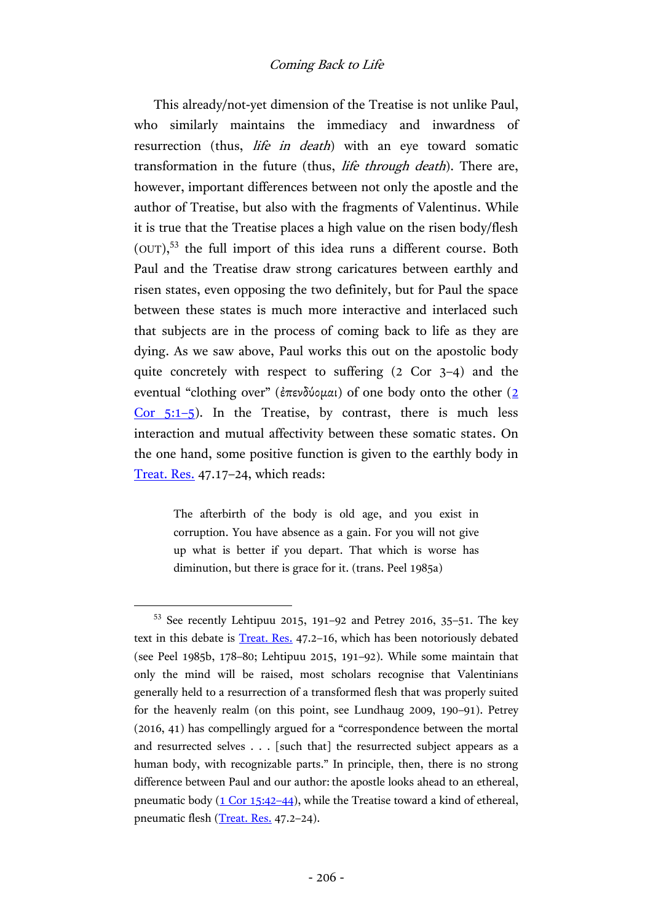This already/not-yet dimension of the Treatise is not unlike Paul, who similarly maintains the immediacy and inwardness of resurrection (thus, *life in death*) with an eye toward somatic transformation in the future (thus, life through death). There are, however, important differences between not only the apostle and the author of Treatise, but also with the fragments of Valentinus. While it is true that the Treatise places a high value on the risen body/flesh  $(OUT)$ ,<sup>53</sup> the full import of this idea runs a different course. Both Paul and the Treatise draw strong caricatures between earthly and risen states, even opposing the two definitely, but for Paul the space between these states is much more interactive and interlaced such that subjects are in the process of coming back to life as they are dying. As we saw above, Paul works this out on the apostolic body quite concretely with respect to suffering (2 Cor 3–4) and the eventual "clothing over" (ἐπενδύομαι) of one body onto the other ([2](http://www.academic-bible.com/bible-text/2Corinthians5.1-5/NA/)  Cor  $5:1-5$ ). In the Treatise, by contrast, there is much less interaction and mutual affectivity between these somatic states. On the one hand, some positive function is given to the earthly body in [Treat. Res.](http://www.earlychristianwritings.com/text/treatiseresurrection.html) 47.17–24, which reads:

> The afterbirth of the body is old age, and you exist in corruption. You have absence as a gain. For you will not give up what is better if you depart. That which is worse has diminution, but there is grace for it. (trans. Peel 1985a)

<sup>53</sup> See recently Lehtipuu 2015, 191–92 and Petrey 2016, 35–51. The key text in this debate is [Treat. Res.](http://www.earlychristianwritings.com/text/treatiseresurrection.html) 47.2–16, which has been notoriously debated (see Peel 1985b, 178–80; Lehtipuu 2015, 191–92). While some maintain that only the mind will be raised, most scholars recognise that Valentinians generally held to a resurrection of a transformed flesh that was properly suited for the heavenly realm (on this point, see Lundhaug 2009, 190–91). Petrey (2016, 41) has compellingly argued for a "correspondence between the mortal and resurrected selves . . . [such that] the resurrected subject appears as a human body, with recognizable parts." In principle, then, there is no strong difference between Paul and our author: the apostle looks ahead to an ethereal, pneumatic body [\(1 Cor 15:42](http://www.academic-bible.com/bible-text/1Corinthians15.42-44/NA/)–44), while the Treatise toward a kind of ethereal, pneumatic flesh [\(Treat. Res.](http://www.earlychristianwritings.com/text/treatiseresurrection.html) 47.2-24).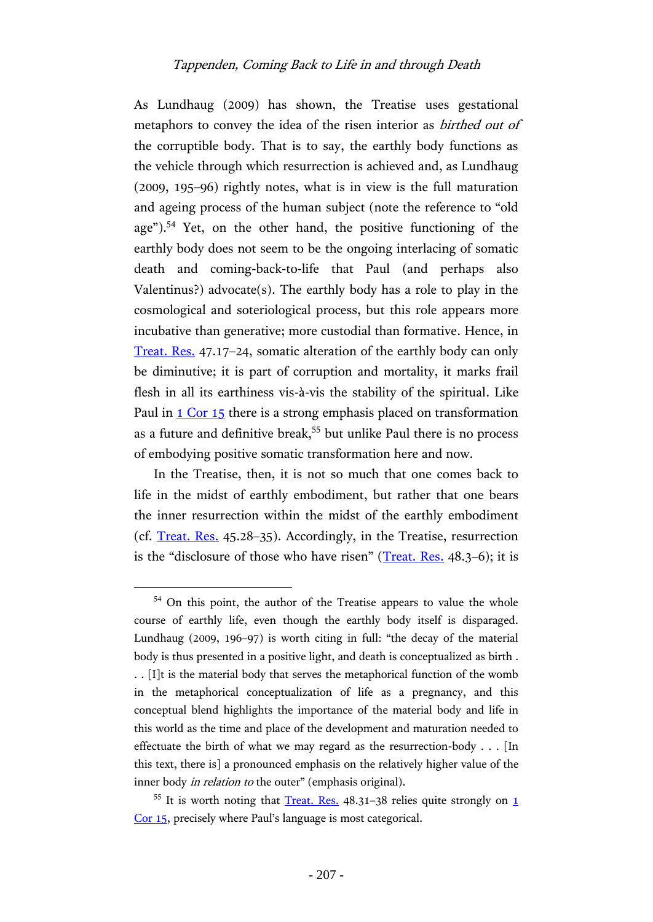## Tappenden, Coming Back to Life in and through Death

As Lundhaug (2009) has shown, the Treatise uses gestational metaphors to convey the idea of the risen interior as birthed out of the corruptible body. That is to say, the earthly body functions as the vehicle through which resurrection is achieved and, as Lundhaug (2009, 195–96) rightly notes, what is in view is the full maturation and ageing process of the human subject (note the reference to "old age").<sup>54</sup> Yet, on the other hand, the positive functioning of the earthly body does not seem to be the ongoing interlacing of somatic death and coming-back-to-life that Paul (and perhaps also Valentinus?) advocate(s). The earthly body has a role to play in the cosmological and soteriological process, but this role appears more incubative than generative; more custodial than formative. Hence, in [Treat. Res.](http://www.earlychristianwritings.com/text/treatiseresurrection.html) 47.17–24, somatic alteration of the earthly body can only be diminutive; it is part of corruption and mortality, it marks frail flesh in all its earthiness vis-à-vis the stability of the spiritual. Like Paul in [1 Cor 15](http://www.academic-bible.com/bible-text/1Corinthians15/NA/) there is a strong emphasis placed on transformation as a future and definitive break,<sup>55</sup> but unlike Paul there is no process of embodying positive somatic transformation here and now.

In the Treatise, then, it is not so much that one comes back to life in the midst of earthly embodiment, but rather that one bears the inner resurrection within the midst of the earthly embodiment (cf. [Treat. Res.](http://www.earlychristianwritings.com/text/treatiseresurrection.html) 45.28–35). Accordingly, in the Treatise, resurrection is the "disclosure of those who have risen" ([Treat. Res.](http://www.earlychristianwritings.com/text/treatiseresurrection.html) 48.3–6); it is

<sup>&</sup>lt;sup>54</sup> On this point, the author of the Treatise appears to value the whole course of earthly life, even though the earthly body itself is disparaged. Lundhaug (2009, 196–97) is worth citing in full: "the decay of the material body is thus presented in a positive light, and death is conceptualized as birth . . . [I]t is the material body that serves the metaphorical function of the womb in the metaphorical conceptualization of life as a pregnancy, and this conceptual blend highlights the importance of the material body and life in this world as the time and place of the development and maturation needed to effectuate the birth of what we may regard as the resurrection-body . . . [In this text, there is] a pronounced emphasis on the relatively higher value of the inner body *in relation to* the outer" (emphasis original).

 $55$  It is worth noting that [Treat. Res.](http://www.earlychristianwritings.com/text/treatiseresurrection.html) 48.31–38 relies quite strongly on 1 [Cor 15](http://www.academic-bible.com/bible-text/1Corinthians15/NA/), precisely where Paul's language is most categorical.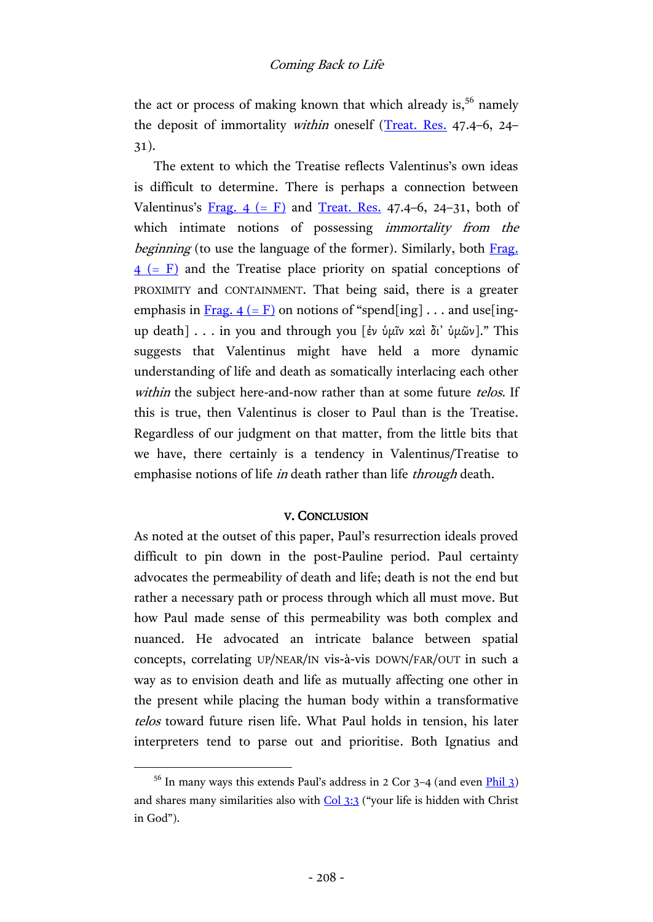the act or process of making known that which already is,  $5<sup>6</sup>$  namely the deposit of immortality within oneself [\(Treat. Res.](http://www.earlychristianwritings.com/text/treatiseresurrection.html) 47.4-6, 24-31).

The extent to which the Treatise reflects Valentinus's own ideas is difficult to determine. There is perhaps a connection between Valentinus's Frag.  $4 (= F)$  and [Treat. Res.](http://www.earlychristianwritings.com/text/treatiseresurrection.html) 47.4–6, 24–31, both of which intimate notions of possessing *immortality from the* beginning (to use the language of the former). Similarly, both Frag.  $4 (= F)$  and the Treatise place priority on spatial conceptions of PROXIMITY and CONTAINMENT. That being said, there is a greater emphasis in Frag.  $4 (= F)$  on notions of "spend[ing]... and use[ingup death] . . . in you and through you [ἐν ὑμῖν καὶ δι᾿ ὑμῶν]." This suggests that Valentinus might have held a more dynamic understanding of life and death as somatically interlacing each other within the subject here-and-now rather than at some future telos. If this is true, then Valentinus is closer to Paul than is the Treatise. Regardless of our judgment on that matter, from the little bits that we have, there certainly is a tendency in Valentinus/Treatise to emphasise notions of life *in* death rather than life *through* death.

### V. CONCLUSION

As noted at the outset of this paper, Paul's resurrection ideals proved difficult to pin down in the post-Pauline period. Paul certainty advocates the permeability of death and life; death is not the end but rather a necessary path or process through which all must move. But how Paul made sense of this permeability was both complex and nuanced. He advocated an intricate balance between spatial concepts, correlating UP/NEAR/IN vis-à-vis DOWN/FAR/OUT in such a way as to envision death and life as mutually affecting one other in the present while placing the human body within a transformative telos toward future risen life. What Paul holds in tension, his later interpreters tend to parse out and prioritise. Both Ignatius and

 $56$  In many ways this extends Paul's address in 2 Cor 3–4 (and even  $\frac{\text{Phil}}{3}$ ) and shares many similarities also with [Col 3:3](http://www.academic-bible.com/bible-text/Colossians3.3/NA/) ("your life is hidden with Christ in God").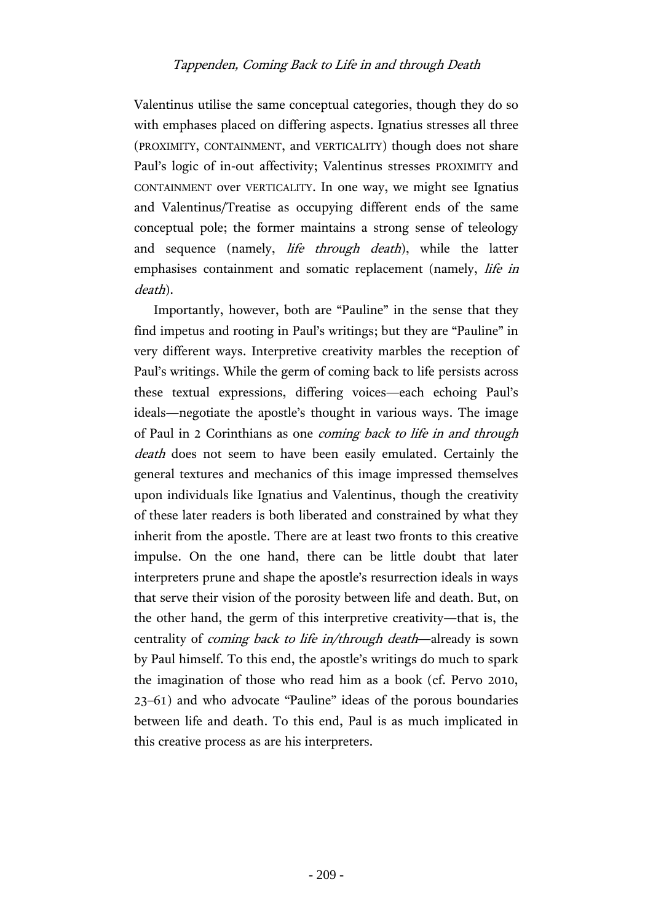Valentinus utilise the same conceptual categories, though they do so with emphases placed on differing aspects. Ignatius stresses all three (PROXIMITY, CONTAINMENT, and VERTICALITY) though does not share Paul's logic of in-out affectivity; Valentinus stresses PROXIMITY and CONTAINMENT over VERTICALITY. In one way, we might see Ignatius and Valentinus/Treatise as occupying different ends of the same conceptual pole; the former maintains a strong sense of teleology and sequence (namely, *life through death*), while the latter emphasises containment and somatic replacement (namely, life in death).

Importantly, however, both are "Pauline" in the sense that they find impetus and rooting in Paul's writings; but they are "Pauline" in very different ways. Interpretive creativity marbles the reception of Paul's writings. While the germ of coming back to life persists across these textual expressions, differing voices—each echoing Paul's ideals—negotiate the apostle's thought in various ways. The image of Paul in 2 Corinthians as one coming back to life in and through death does not seem to have been easily emulated. Certainly the general textures and mechanics of this image impressed themselves upon individuals like Ignatius and Valentinus, though the creativity of these later readers is both liberated and constrained by what they inherit from the apostle. There are at least two fronts to this creative impulse. On the one hand, there can be little doubt that later interpreters prune and shape the apostle's resurrection ideals in ways that serve their vision of the porosity between life and death. But, on the other hand, the germ of this interpretive creativity—that is, the centrality of *coming back to life in/through death*—already is sown by Paul himself. To this end, the apostle's writings do much to spark the imagination of those who read him as a book (cf. Pervo 2010, 23–61) and who advocate "Pauline" ideas of the porous boundaries between life and death. To this end, Paul is as much implicated in this creative process as are his interpreters.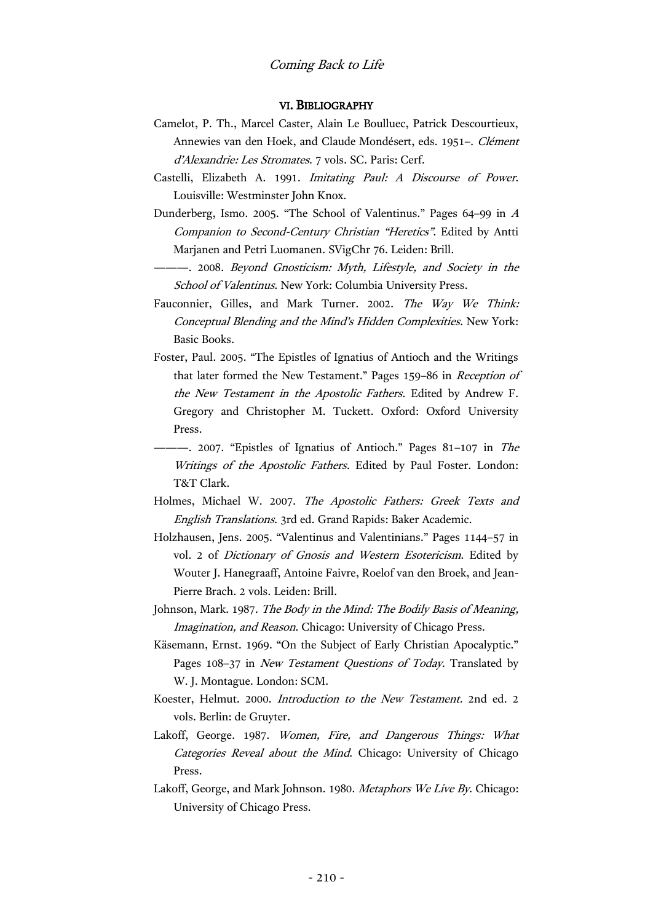#### VI. BIBLIOGRAPHY

- Camelot, P. Th., Marcel Caster, Alain Le Boulluec, Patrick Descourtieux, Annewies van den Hoek, and Claude Mondésert, eds. 1951–. Clément d'Alexandrie: Les Stromates. 7 vols. SC. Paris: Cerf.
- Castelli, Elizabeth A. 1991. Imitating Paul: A Discourse of Power. Louisville: Westminster John Knox.
- Dunderberg, Ismo. 2005. "The School of Valentinus." Pages 64–99 in <sup>A</sup> Companion to Second-Century Christian "Heretics". Edited by Antti Marjanen and Petri Luomanen. SVigChr 76. Leiden: Brill.
- ———. 2008. Beyond Gnosticism: Myth, Lifestyle, and Society in the School of Valentinus. New York: Columbia University Press.
- Fauconnier, Gilles, and Mark Turner. 2002. The Way We Think: Conceptual Blending and the Mind's Hidden Complexities. New York: Basic Books.
- Foster, Paul. 2005. "The Epistles of Ignatius of Antioch and the Writings that later formed the New Testament." Pages 159–86 in Reception of the New Testament in the Apostolic Fathers. Edited by Andrew F. Gregory and Christopher M. Tuckett. Oxford: Oxford University Press.
- --- 2007. "Epistles of Ignatius of Antioch." Pages 81-107 in The Writings of the Apostolic Fathers. Edited by Paul Foster. London: T&T Clark.
- Holmes, Michael W. 2007. The Apostolic Fathers: Greek Texts and English Translations. 3rd ed. Grand Rapids: Baker Academic.
- Holzhausen, Jens. 2005. "Valentinus and Valentinians." Pages 1144–57 in vol. 2 of Dictionary of Gnosis and Western Esotericism. Edited by Wouter J. Hanegraaff, Antoine Faivre, Roelof van den Broek, and Jean-Pierre Brach. 2 vols. Leiden: Brill.
- Johnson, Mark. 1987. The Body in the Mind: The Bodily Basis of Meaning, Imagination, and Reason. Chicago: University of Chicago Press.
- Käsemann, Ernst. 1969. "On the Subject of Early Christian Apocalyptic." Pages 108–37 in New Testament Questions of Today. Translated by W. J. Montague. London: SCM.
- Koester, Helmut. 2000. Introduction to the New Testament. 2nd ed. 2 vols. Berlin: de Gruyter.
- Lakoff, George. 1987. Women, Fire, and Dangerous Things: What Categories Reveal about the Mind. Chicago: University of Chicago Press.
- Lakoff, George, and Mark Johnson. 1980. Metaphors We Live By. Chicago: University of Chicago Press.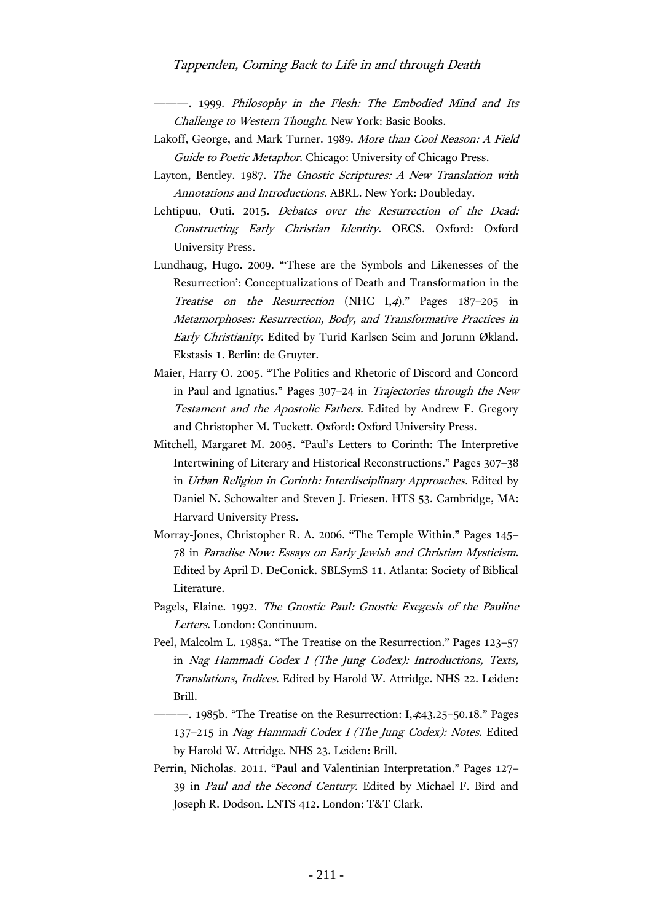### Tappenden, Coming Back to Life in and through Death

———. 1999. Philosophy in the Flesh: The Embodied Mind and Its Challenge to Western Thought. New York: Basic Books.

- Lakoff, George, and Mark Turner. 1989. More than Cool Reason: A Field Guide to Poetic Metaphor. Chicago: University of Chicago Press.
- Layton, Bentley. 1987. The Gnostic Scriptures: A New Translation with Annotations and Introductions. ABRL. New York: Doubleday.
- Lehtipuu, Outi. 2015. Debates over the Resurrection of the Dead: Constructing Early Christian Identity. OECS. Oxford: Oxford University Press.
- Lundhaug, Hugo. 2009. "'These are the Symbols and Likenesses of the Resurrection': Conceptualizations of Death and Transformation in the Treatise on the Resurrection (NHC I,4)." Pages 187–205 in Metamorphoses: Resurrection, Body, and Transformative Practices in Early Christianity. Edited by Turid Karlsen Seim and Jorunn Økland. Ekstasis 1. Berlin: de Gruyter.
- Maier, Harry O. 2005. "The Politics and Rhetoric of Discord and Concord in Paul and Ignatius." Pages 307–24 in Trajectories through the New Testament and the Apostolic Fathers. Edited by Andrew F. Gregory and Christopher M. Tuckett. Oxford: Oxford University Press.
- Mitchell, Margaret M. 2005. "Paul's Letters to Corinth: The Interpretive Intertwining of Literary and Historical Reconstructions." Pages 307–38 in Urban Religion in Corinth: Interdisciplinary Approaches. Edited by Daniel N. Schowalter and Steven J. Friesen. HTS 53. Cambridge, MA: Harvard University Press.
- Morray-Jones, Christopher R. A. 2006. "The Temple Within." Pages 145– 78 in Paradise Now: Essays on Early Jewish and Christian Mysticism. Edited by April D. DeConick. SBLSymS 11. Atlanta: Society of Biblical Literature.
- Pagels, Elaine. 1992. The Gnostic Paul: Gnostic Exegesis of the Pauline Letters. London: Continuum.
- Peel, Malcolm L. 1985a. "The Treatise on the Resurrection." Pages 123–57 in Nag Hammadi Codex I (The Jung Codex): Introductions, Texts, Translations, Indices. Edited by Harold W. Attridge. NHS 22. Leiden: Brill.
- 1985b. "The Treatise on the Resurrection: I,4:43.25-50.18." Pages 137–215 in Nag Hammadi Codex I (The Jung Codex): Notes. Edited by Harold W. Attridge. NHS 23. Leiden: Brill.
- Perrin, Nicholas. 2011. "Paul and Valentinian Interpretation." Pages 127– 39 in Paul and the Second Century. Edited by Michael F. Bird and Joseph R. Dodson. LNTS 412. London: T&T Clark.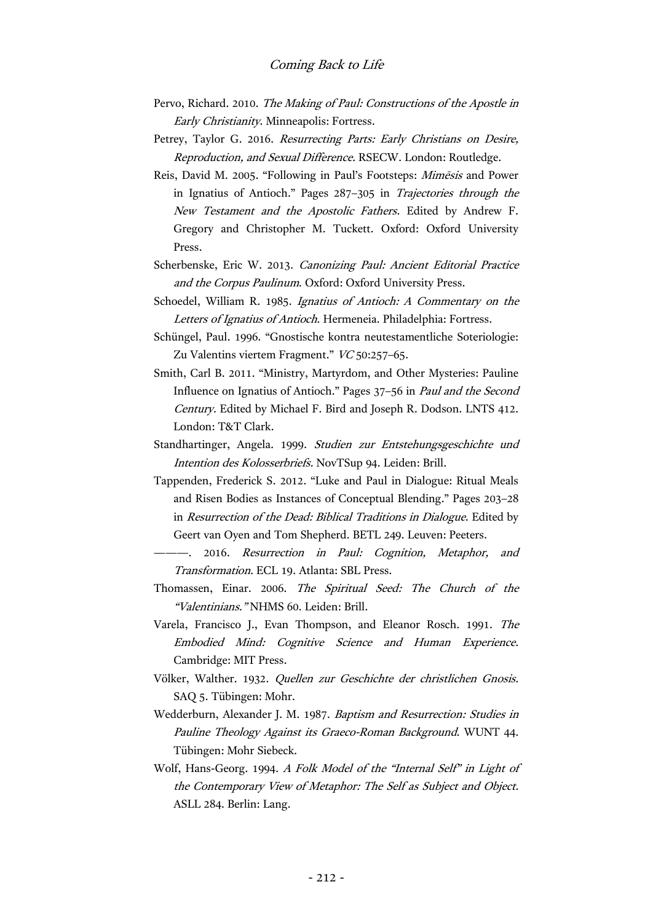- Pervo, Richard. 2010. The Making of Paul: Constructions of the Apostle in Early Christianity. Minneapolis: Fortress.
- Petrey, Taylor G. 2016. Resurrecting Parts: Early Christians on Desire, Reproduction, and Sexual Difference. RSECW. London: Routledge.
- Reis, David M. 2005. "Following in Paul's Footsteps: Mimēsis and Power in Ignatius of Antioch." Pages 287–305 in Trajectories through the New Testament and the Apostolic Fathers. Edited by Andrew F. Gregory and Christopher M. Tuckett. Oxford: Oxford University Press.
- Scherbenske, Eric W. 2013. Canonizing Paul: Ancient Editorial Practice and the Corpus Paulinum. Oxford: Oxford University Press.
- Schoedel, William R. 1985. Ignatius of Antioch: A Commentary on the Letters of Ignatius of Antioch. Hermeneia. Philadelphia: Fortress.
- Schüngel, Paul. 1996. "Gnostische kontra neutestamentliche Soteriologie: Zu Valentins viertem Fragment." VC 50:257–65.
- Smith, Carl B. 2011. "Ministry, Martyrdom, and Other Mysteries: Pauline Influence on Ignatius of Antioch." Pages 37–56 in Paul and the Second Century. Edited by Michael F. Bird and Joseph R. Dodson. LNTS 412. London: T&T Clark.
- Standhartinger, Angela. 1999. Studien zur Entstehungsgeschichte und Intention des Kolosserbriefs. NovTSup 94. Leiden: Brill.
- Tappenden, Frederick S. 2012. "Luke and Paul in Dialogue: Ritual Meals and Risen Bodies as Instances of Conceptual Blending." Pages 203–28 in Resurrection of the Dead: Biblical Traditions in Dialogue. Edited by Geert van Oyen and Tom Shepherd. BETL 249. Leuven: Peeters.
	- ———. 2016. Resurrection in Paul: Cognition, Metaphor, and Transformation. ECL 19. Atlanta: SBL Press.
- Thomassen, Einar. 2006. The Spiritual Seed: The Church of the "Valentinians." NHMS 60. Leiden: Brill.
- Varela, Francisco J., Evan Thompson, and Eleanor Rosch. 1991. The Embodied Mind: Cognitive Science and Human Experience. Cambridge: MIT Press.
- Völker, Walther. 1932. Quellen zur Geschichte der christlichen Gnosis. SAQ 5. Tübingen: Mohr.
- Wedderburn, Alexander J. M. 1987. Baptism and Resurrection: Studies in Pauline Theology Against its Graeco-Roman Background. WUNT 44. Tübingen: Mohr Siebeck.
- Wolf, Hans-Georg. 1994. A Folk Model of the "Internal Self" in Light of the Contemporary View of Metaphor: The Self as Subject and Object. ASLL 284. Berlin: Lang.